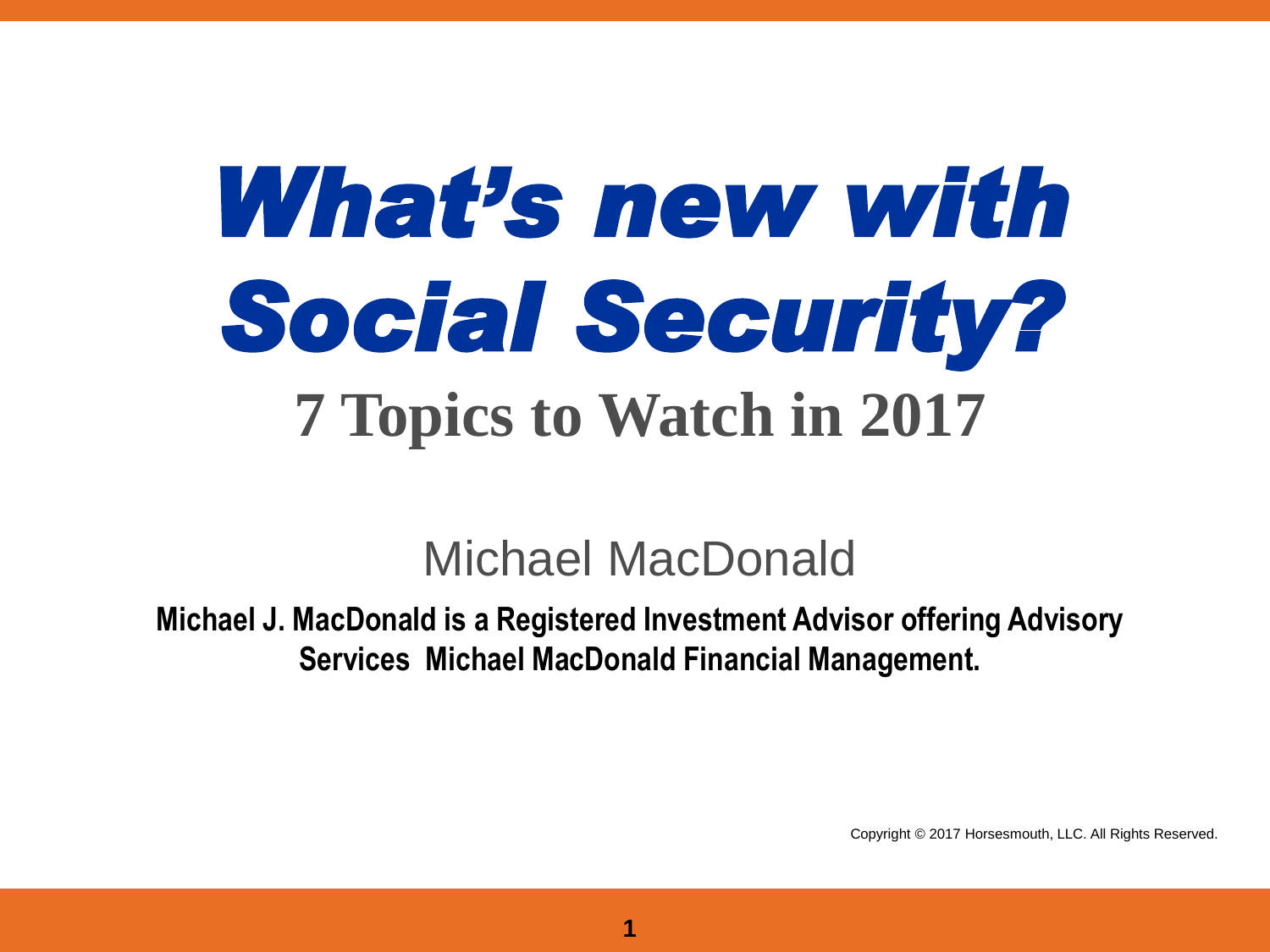# *What's new with Social Security?* **7 Topics to Watch in 2017**

#### Michael MacDonald

**Michael J. MacDonald is a Registered Investment Advisor offering Advisory Services Michael MacDonald Financial Management.** 

Copyright © 2017 Horsesmouth, LLC. All Rights Reserved.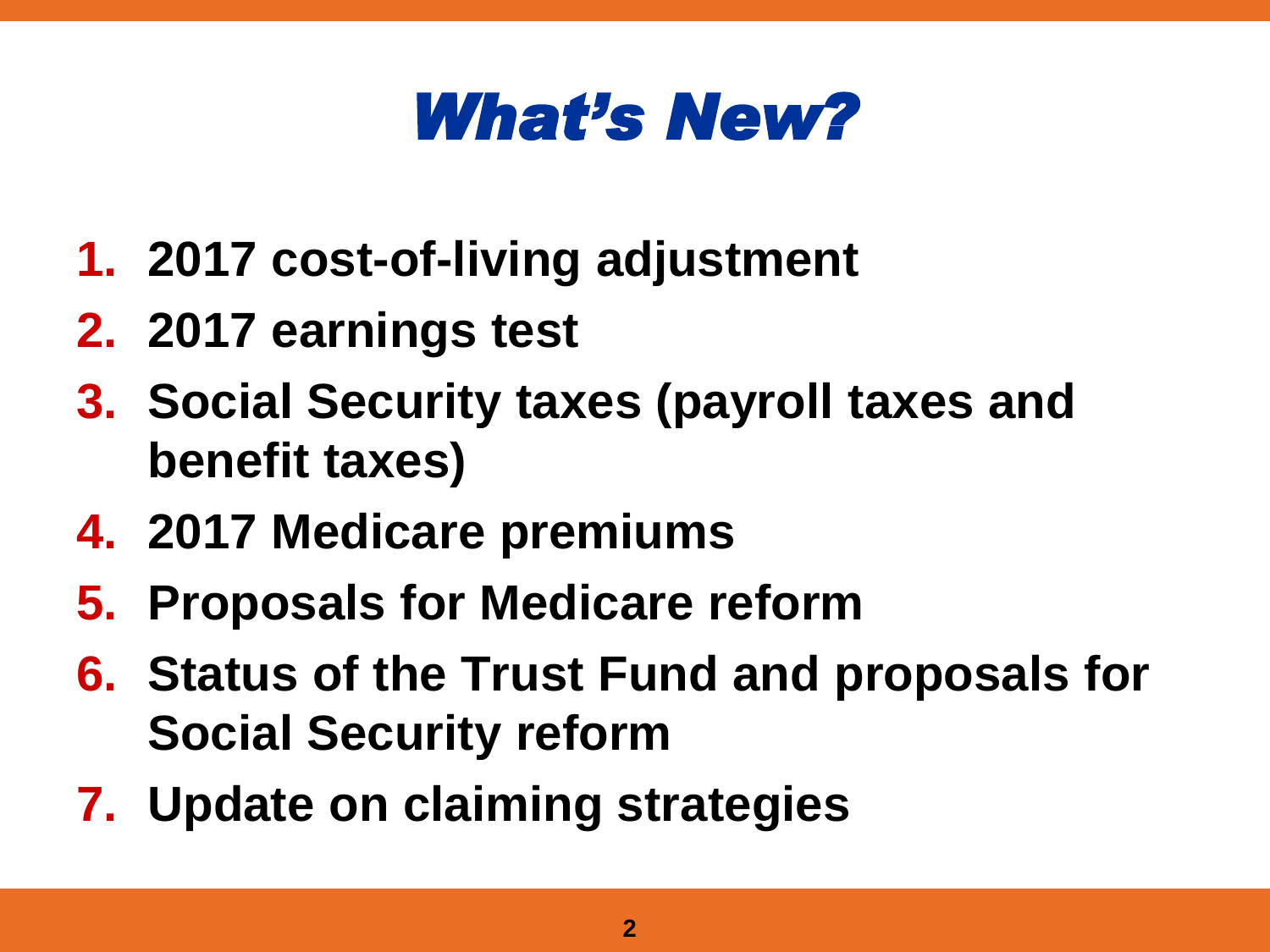#### *What's New?*

- **1. 2017 cost-of-living adjustment**
- **2. 2017 earnings test**
- **3. Social Security taxes (payroll taxes and benefit taxes)**
- **4. 2017 Medicare premiums**
- **5. Proposals for Medicare reform**
- **6. Status of the Trust Fund and proposals for Social Security reform**
- **7. Update on claiming strategies**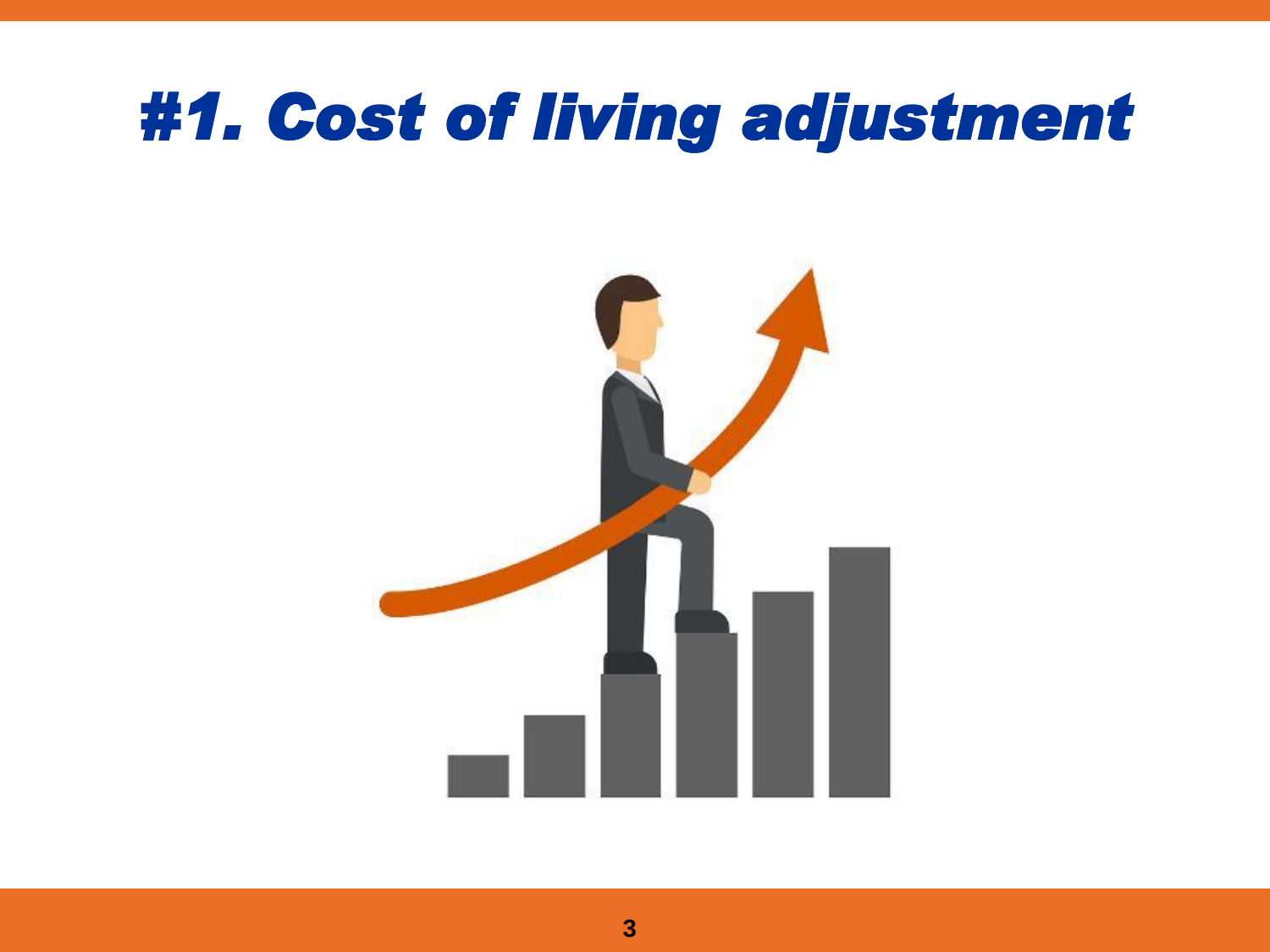#### *#1. Cost of living adjustment*

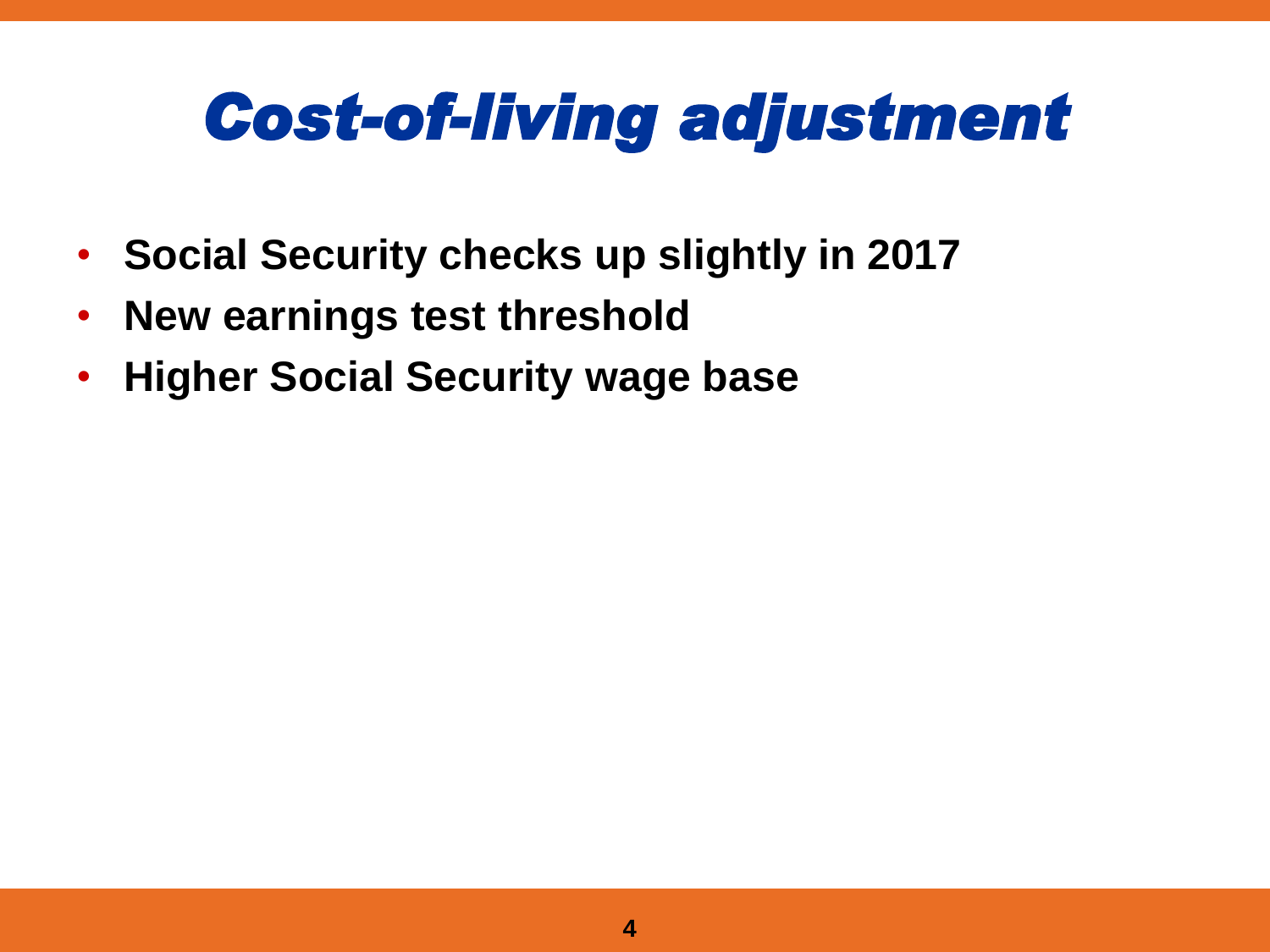## *Cost-of-living adjustment*

- **Social Security checks up slightly in 2017**
- **New earnings test threshold**
- **Higher Social Security wage base**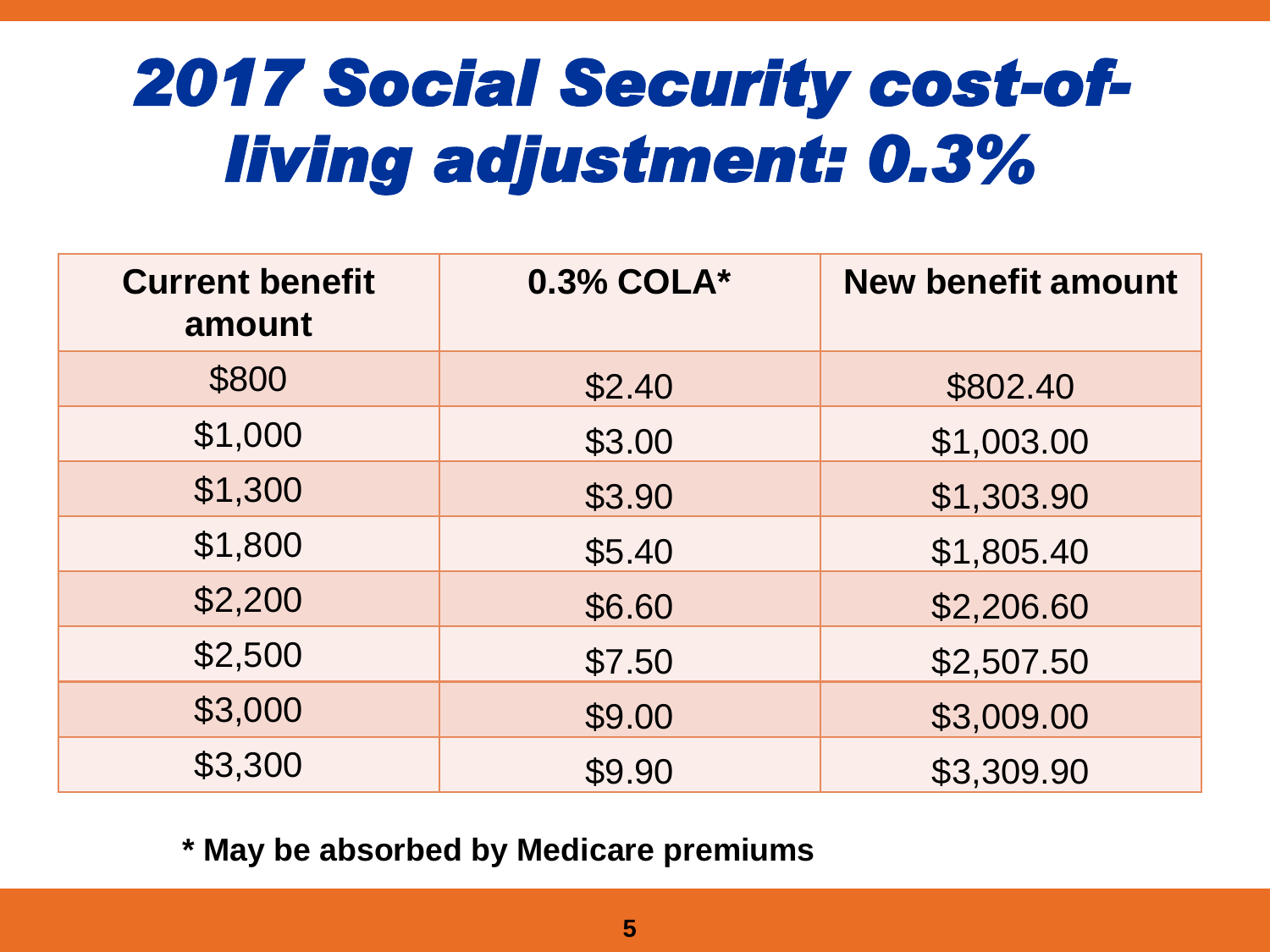## *2017 Social Security cost-ofliving adjustment: 0.3%*

| <b>Current benefit</b><br>amount | 0.3% COLA* | <b>New benefit amount</b> |
|----------------------------------|------------|---------------------------|
| \$800                            | \$2.40     | \$802.40                  |
| \$1,000                          | \$3.00     | \$1,003.00                |
| \$1,300                          | \$3.90     | \$1,303.90                |
| \$1,800                          | \$5.40     | \$1,805.40                |
| \$2,200                          | \$6.60     | \$2,206.60                |
| \$2,500                          | \$7.50     | \$2,507.50                |
| \$3,000                          | \$9.00     | \$3,009.00                |
| \$3,300                          | \$9.90     | \$3,309.90                |

**\* May be absorbed by Medicare premiums**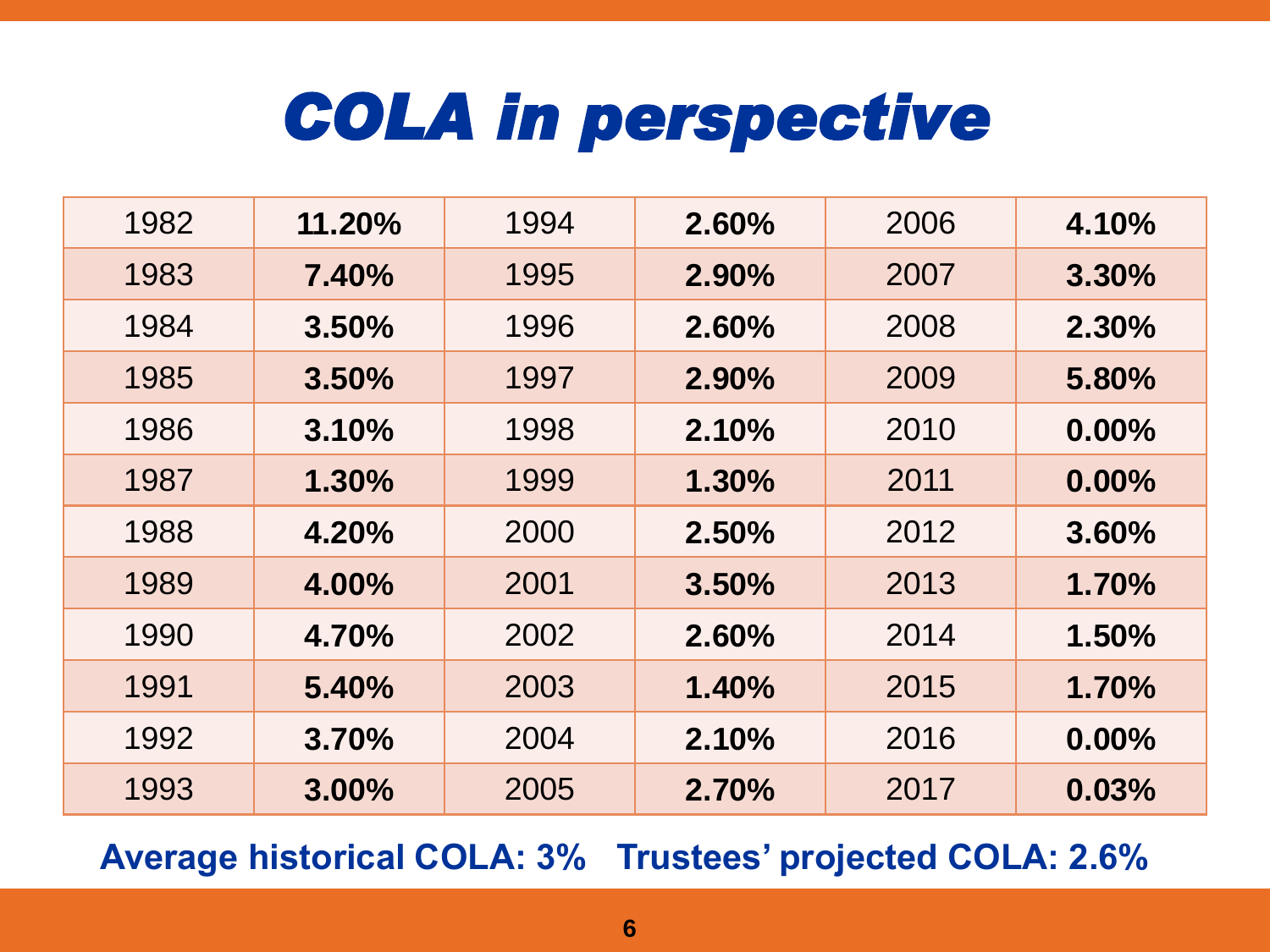### *COLA in perspective*

| 1982 | 11.20% | 1994 | 2.60% | 2006 | 4.10%    |
|------|--------|------|-------|------|----------|
| 1983 | 7.40%  | 1995 | 2.90% | 2007 | 3.30%    |
| 1984 | 3.50%  | 1996 | 2.60% | 2008 | 2.30%    |
| 1985 | 3.50%  | 1997 | 2.90% | 2009 | 5.80%    |
| 1986 | 3.10%  | 1998 | 2.10% | 2010 | $0.00\%$ |
| 1987 | 1.30%  | 1999 | 1.30% | 2011 | $0.00\%$ |
| 1988 | 4.20%  | 2000 | 2.50% | 2012 | 3.60%    |
| 1989 | 4.00%  | 2001 | 3.50% | 2013 | 1.70%    |
| 1990 | 4.70%  | 2002 | 2.60% | 2014 | 1.50%    |
| 1991 | 5.40%  | 2003 | 1.40% | 2015 | 1.70%    |
| 1992 | 3.70%  | 2004 | 2.10% | 2016 | $0.00\%$ |
| 1993 | 3.00%  | 2005 | 2.70% | 2017 | 0.03%    |

**Average historical COLA: 3% Trustees' projected COLA: 2.6%**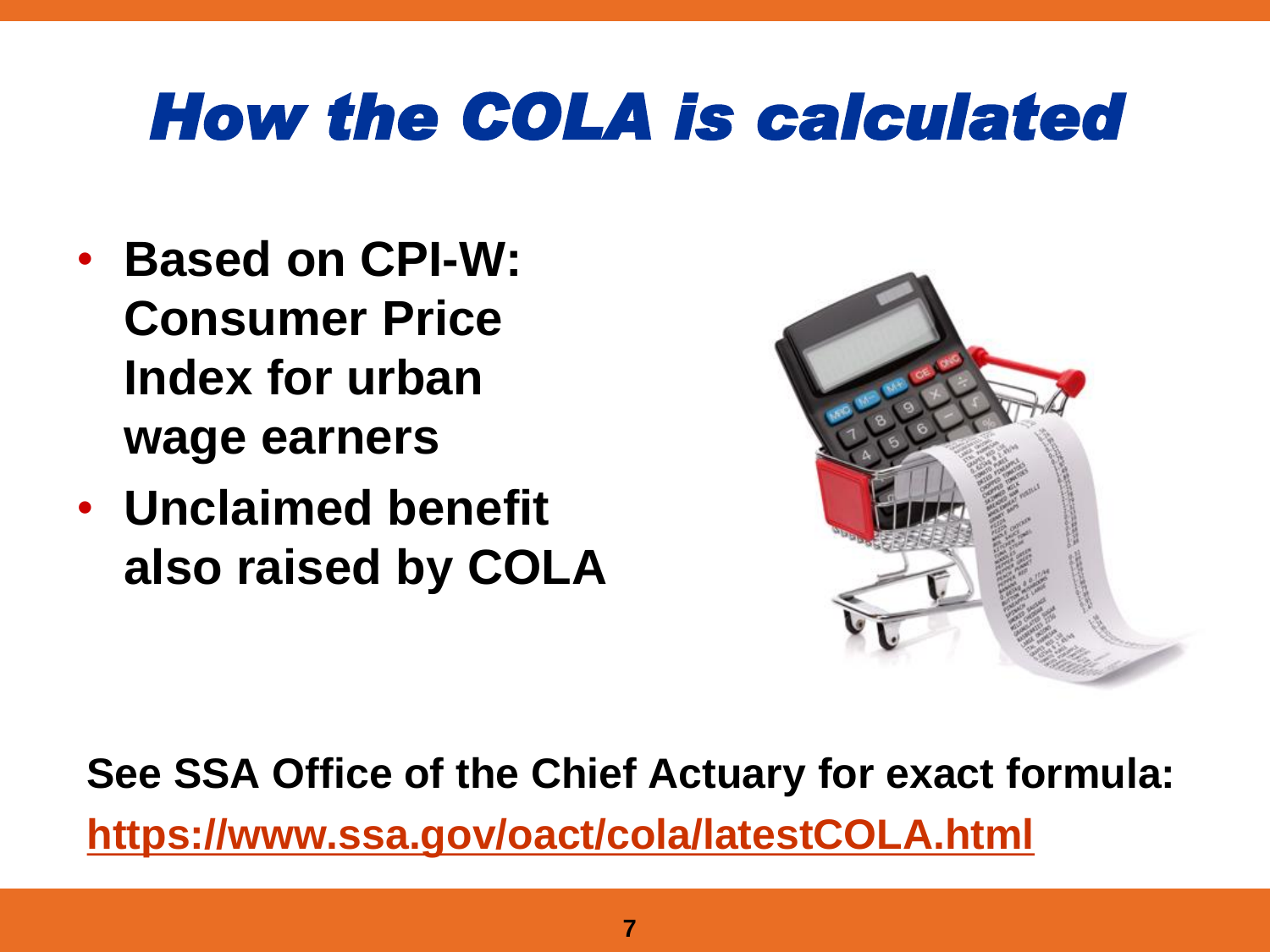## *How the COLA is calculated*

- **Based on CPI-W: Consumer Price Index for urban wage earners**
- **Unclaimed benefit also raised by COLA**



**See SSA Office of the Chief Actuary for exact formula: <https://www.ssa.gov/oact/cola/latestCOLA.html>**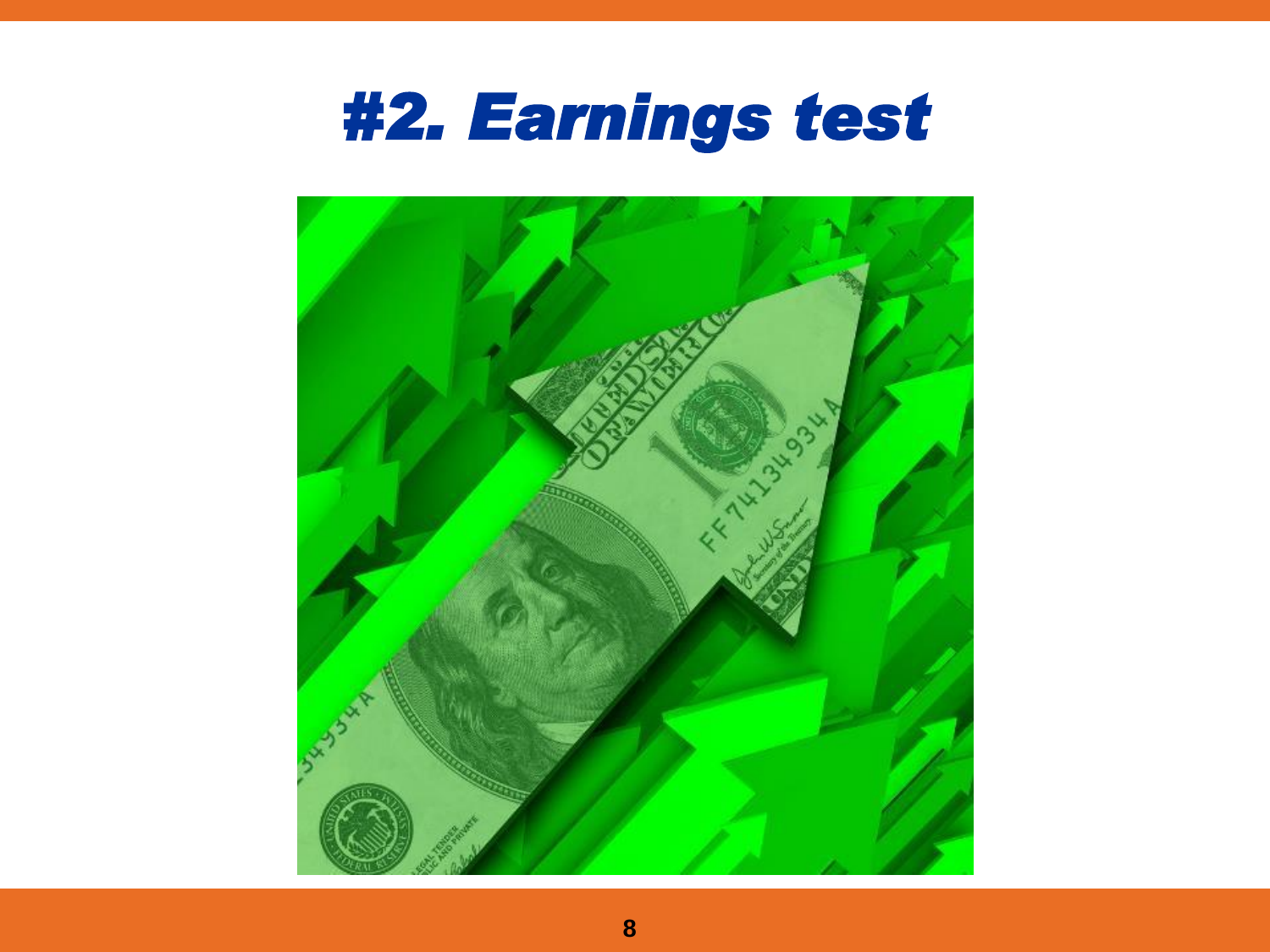

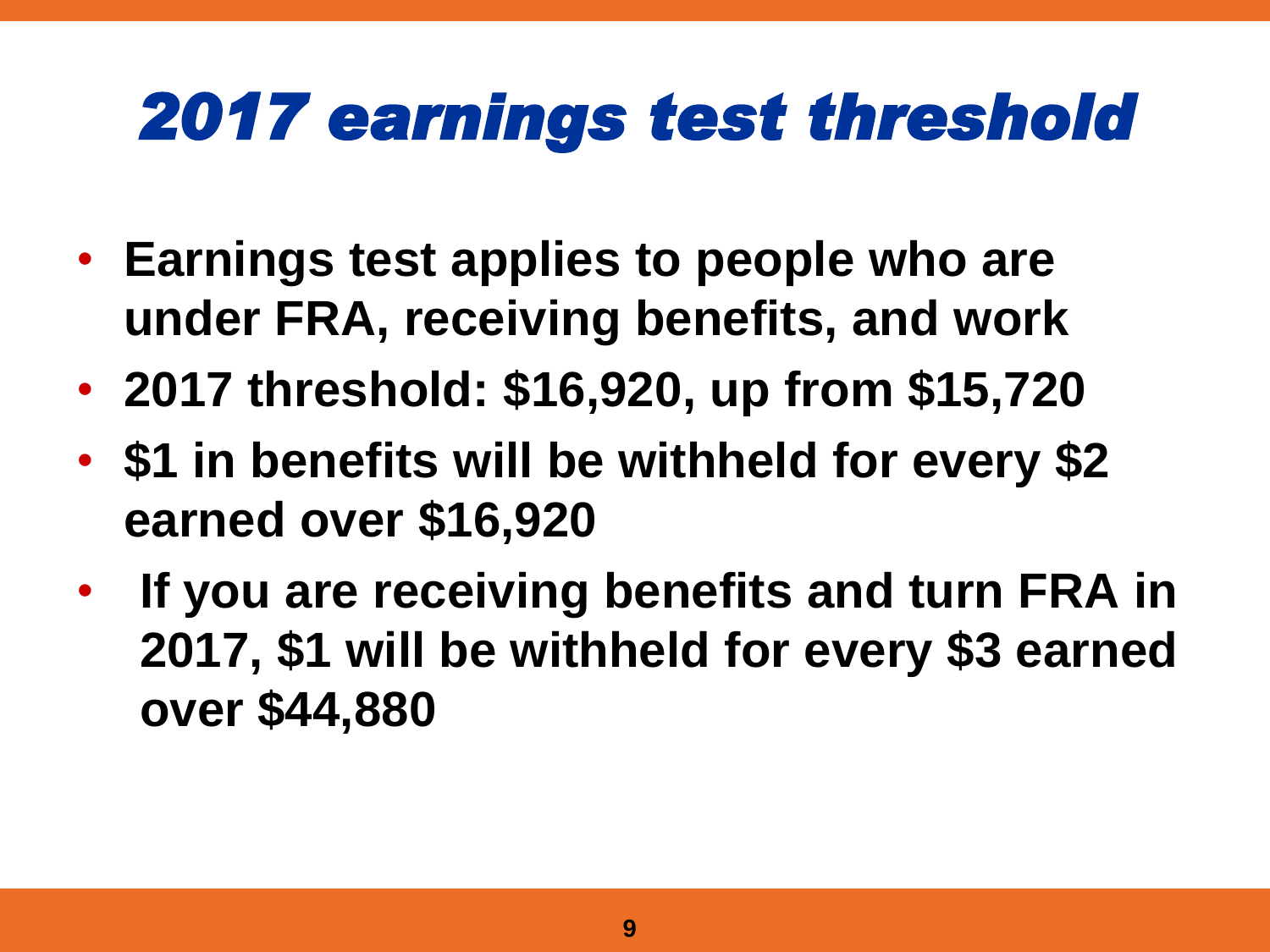## *2017 earnings test threshold*

- **Earnings test applies to people who are under FRA, receiving benefits, and work**
- **2017 threshold: \$16,920, up from \$15,720**
- **\$1 in benefits will be withheld for every \$2 earned over \$16,920**
- **If you are receiving benefits and turn FRA in 2017, \$1 will be withheld for every \$3 earned over \$44,880**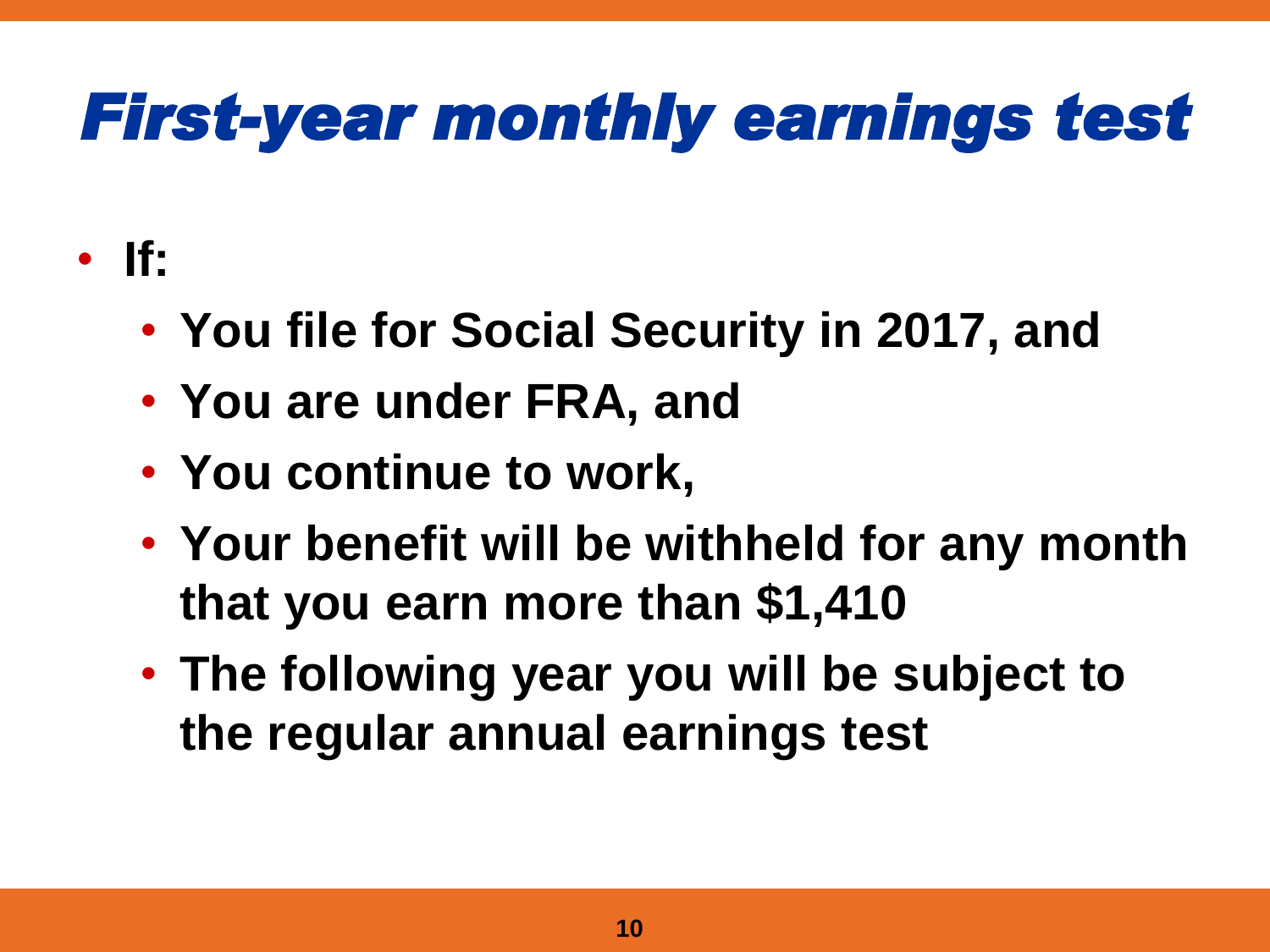## *First-year monthly earnings test*

- **If:**
	- **You file for Social Security in 2017, and**
	- **You are under FRA, and**
	- **You continue to work,**
	- **Your benefit will be withheld for any month that you earn more than \$1,410**
	- **The following year you will be subject to the regular annual earnings test**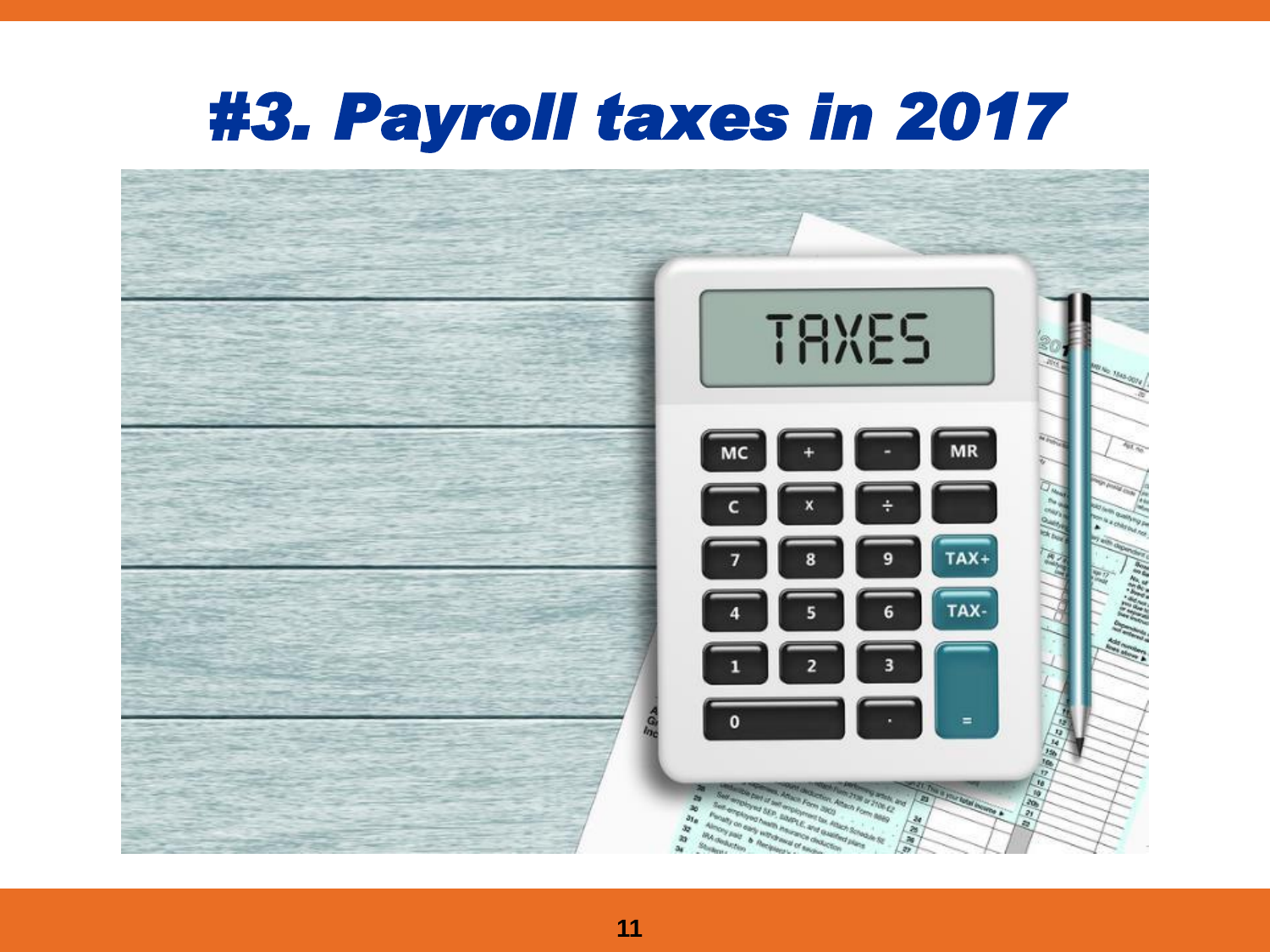#### *#3. Payroll taxes in 2017*

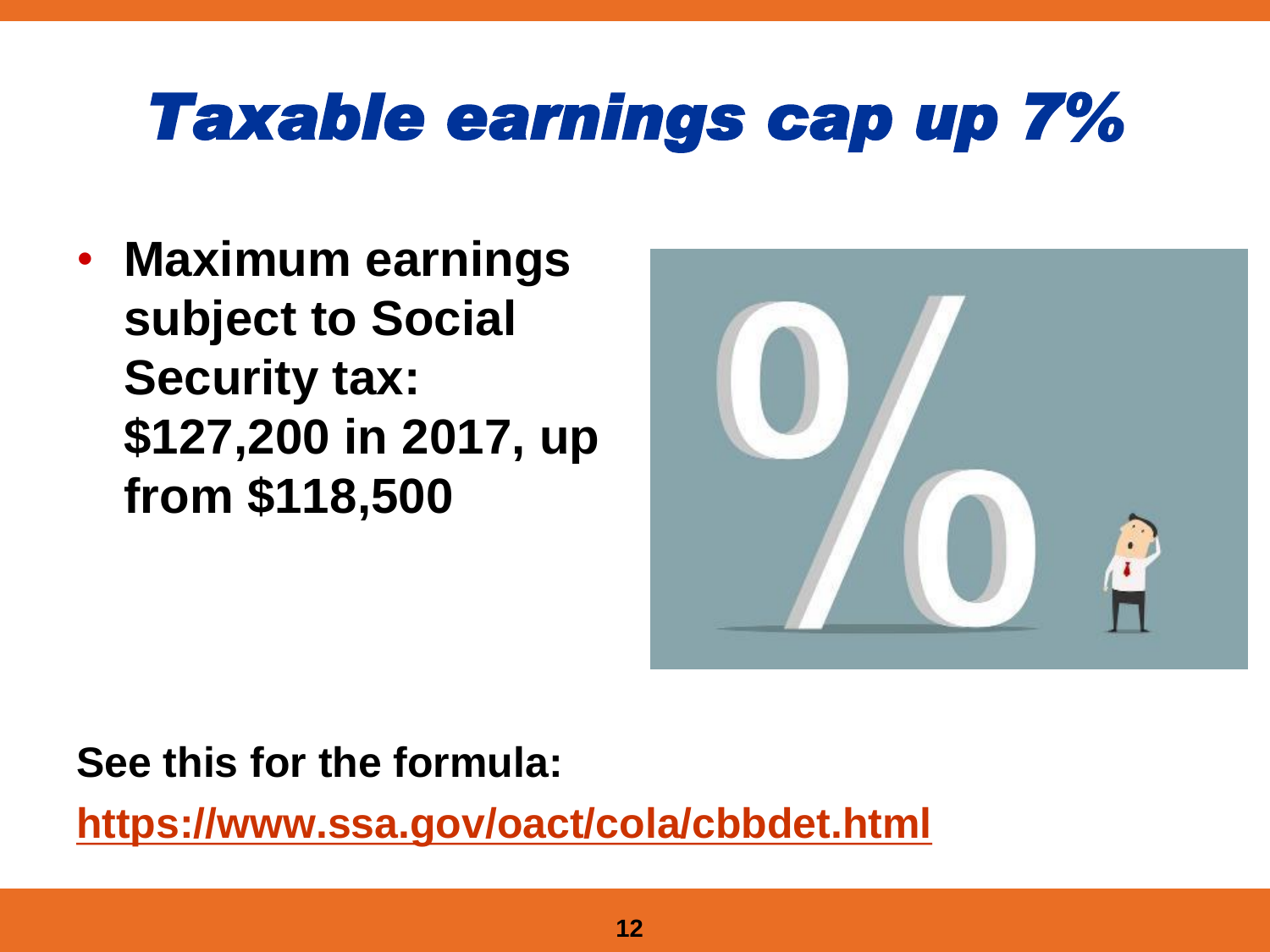## *Taxable earnings cap up 7%*

• **Maximum earnings subject to Social Security tax: \$127,200 in 2017, up from \$118,500**



#### **See this for the formula:**

**<https://www.ssa.gov/oact/cola/cbbdet.html>**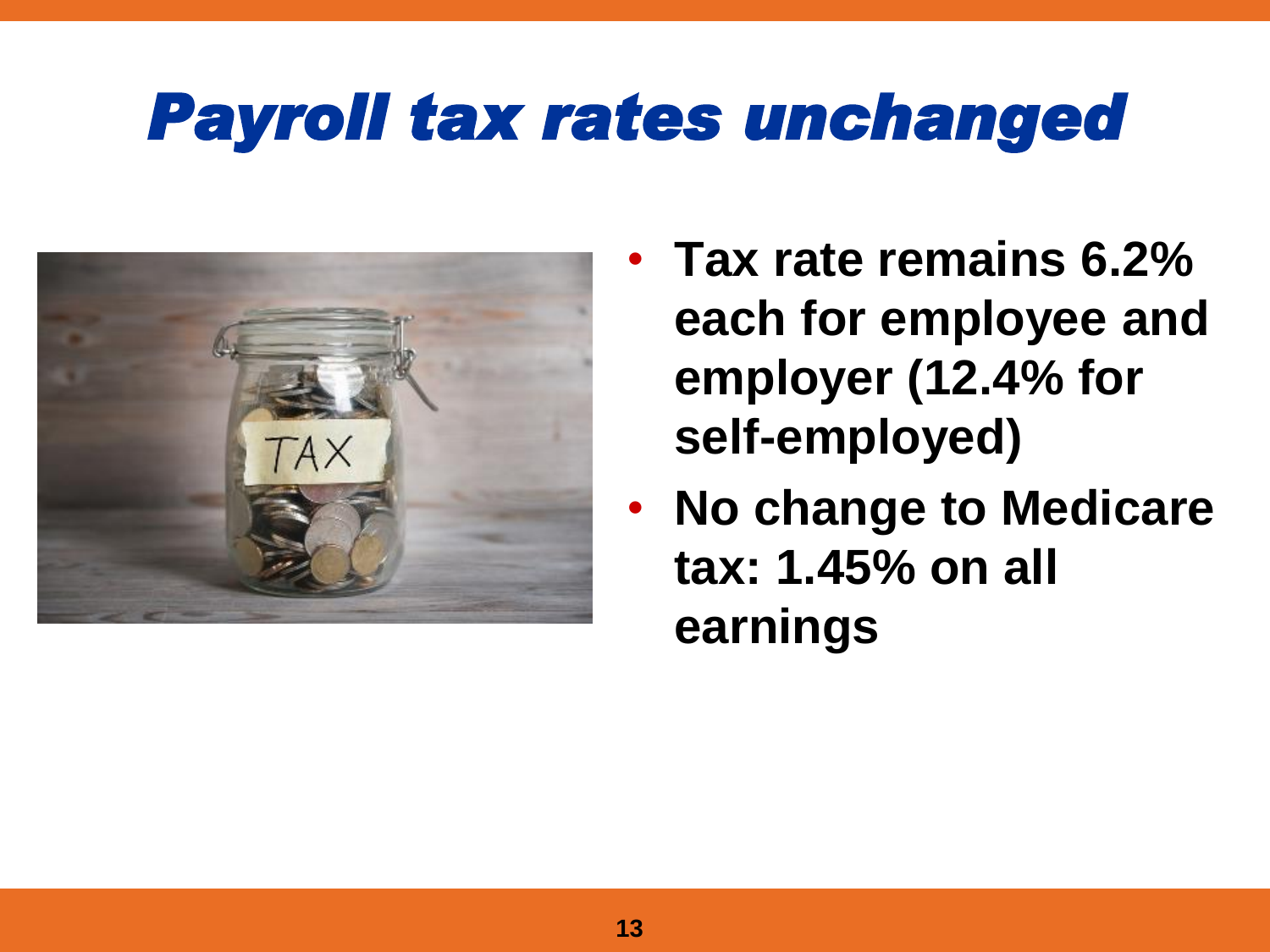### *Payroll tax rates unchanged*



- **Tax rate remains 6.2% each for employee and employer (12.4% for self-employed)**
- **No change to Medicare tax: 1.45% on all earnings**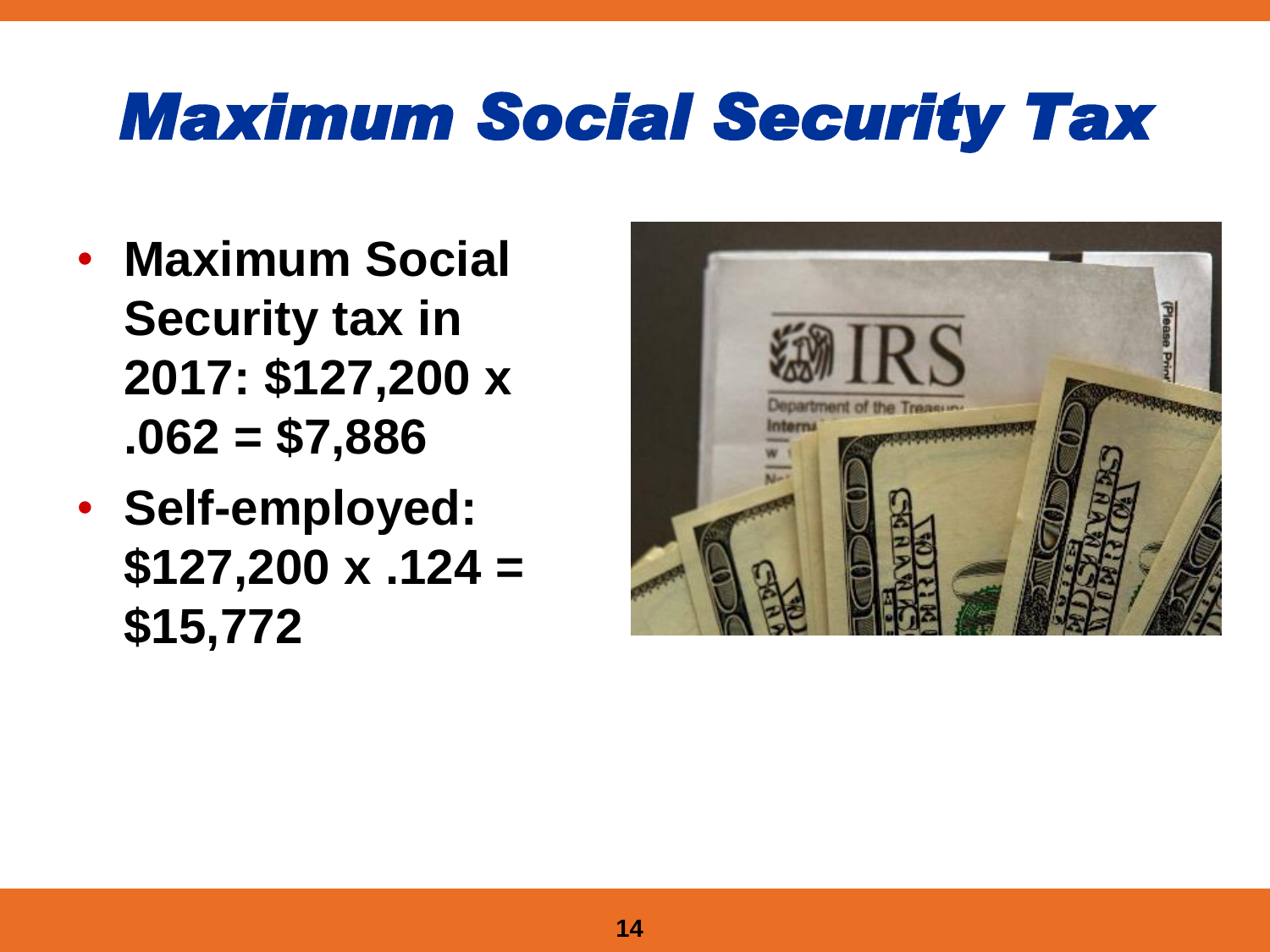#### *Maximum Social Security Tax*

- **Maximum Social Security tax in 2017: \$127,200 x .062 = \$7,886**
- **Self-employed: \$127,200 x .124 = \$15,772**

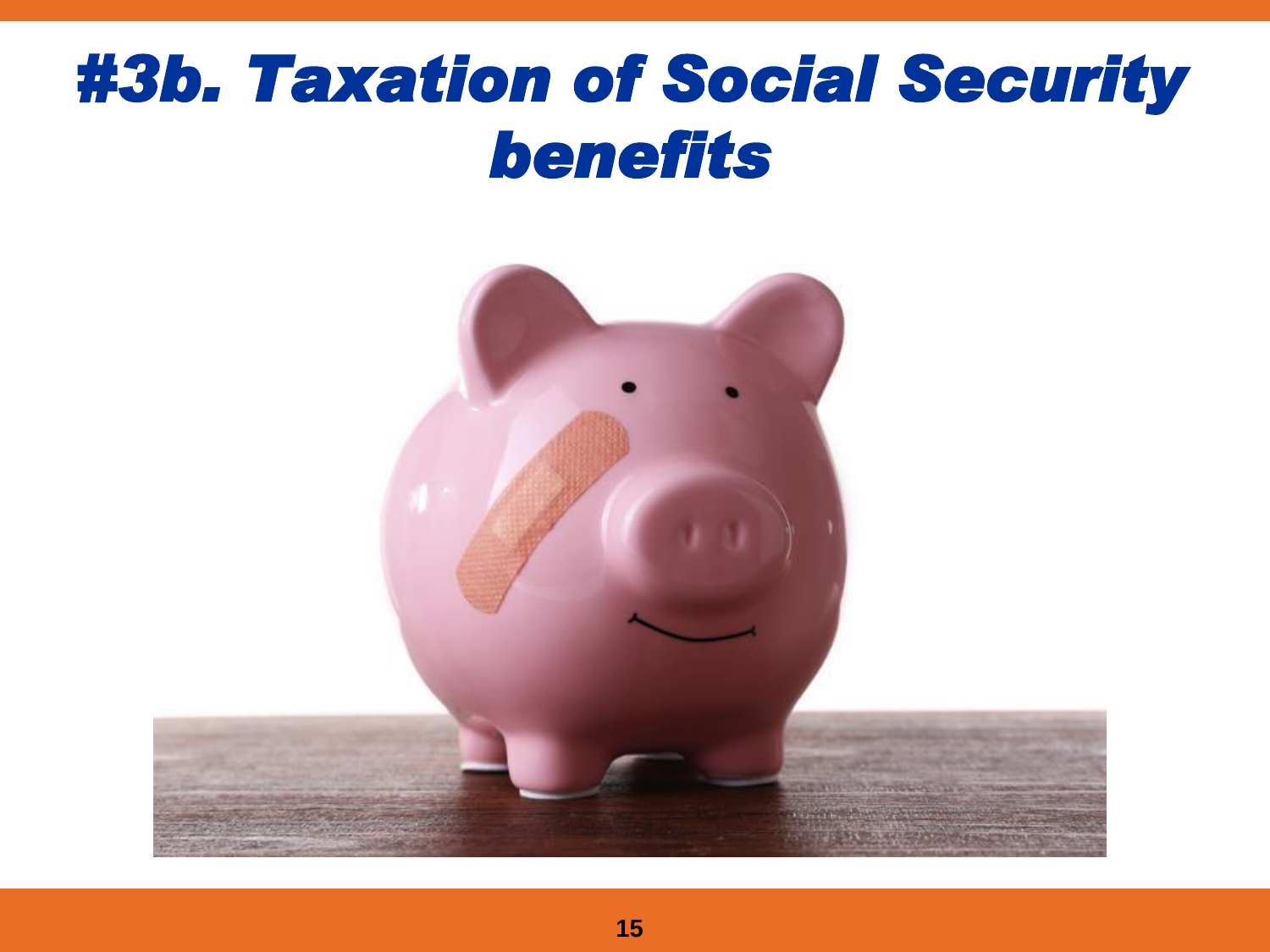#### *#3b. Taxation of Social Security benefits*

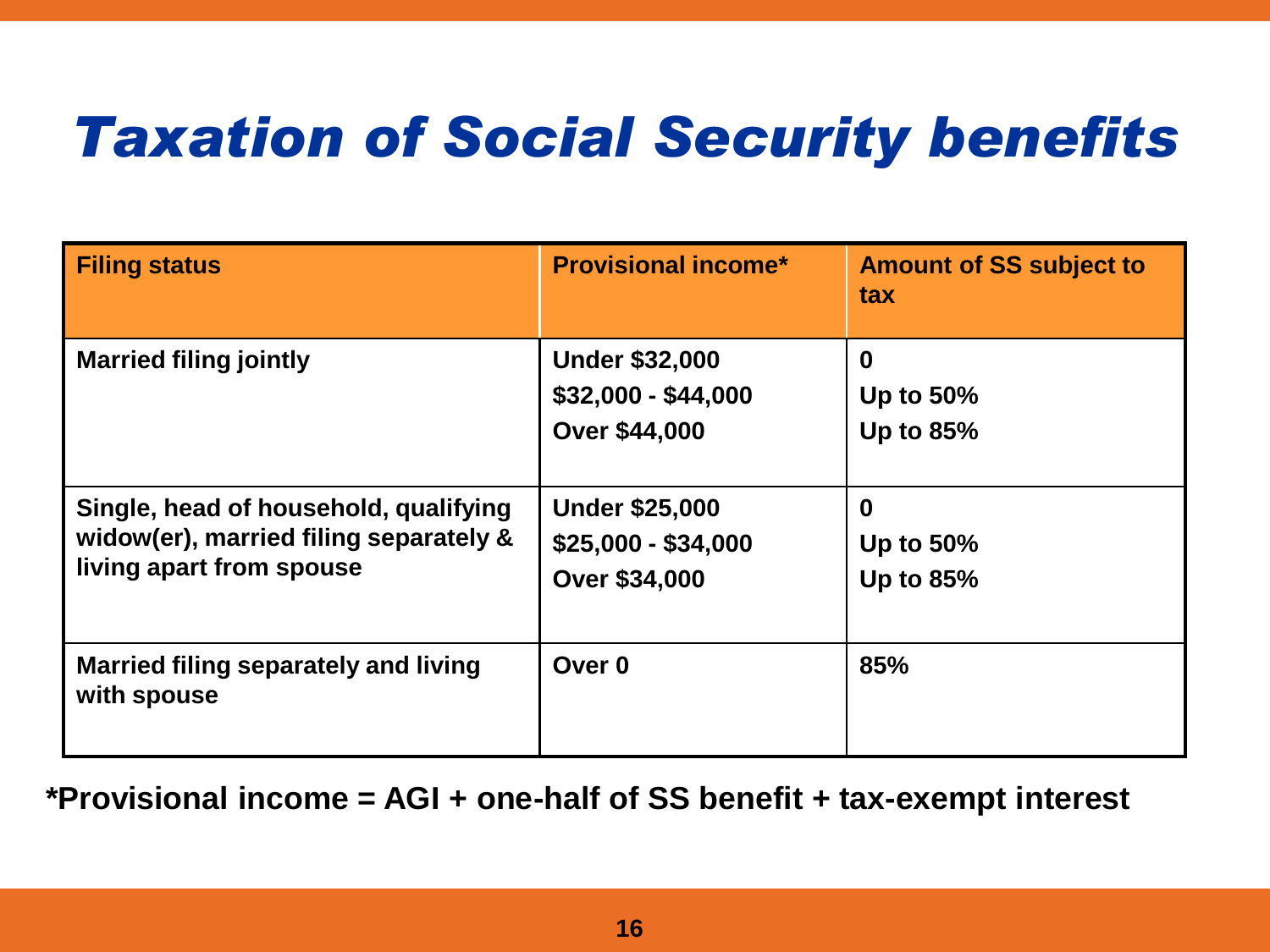#### *Taxation of Social Security benefits*

| <b>Filing status</b>                                                                                        | <b>Provisional income*</b>                                           | <b>Amount of SS subject to</b><br>tax            |
|-------------------------------------------------------------------------------------------------------------|----------------------------------------------------------------------|--------------------------------------------------|
| <b>Married filing jointly</b>                                                                               | <b>Under \$32,000</b><br>$$32,000 - $44,000$<br><b>Over \$44,000</b> | $\bf{0}$<br><b>Up to 50%</b><br><b>Up to 85%</b> |
| Single, head of household, qualifying<br>widow(er), married filing separately &<br>living apart from spouse | <b>Under \$25,000</b><br>$$25,000 - $34,000$<br><b>Over \$34,000</b> | $\bf{0}$<br><b>Up to 50%</b><br><b>Up to 85%</b> |
| Married filing separately and living<br>with spouse                                                         | Over 0                                                               | 85%                                              |

**\*Provisional income = AGI + one-half of SS benefit + tax-exempt interest**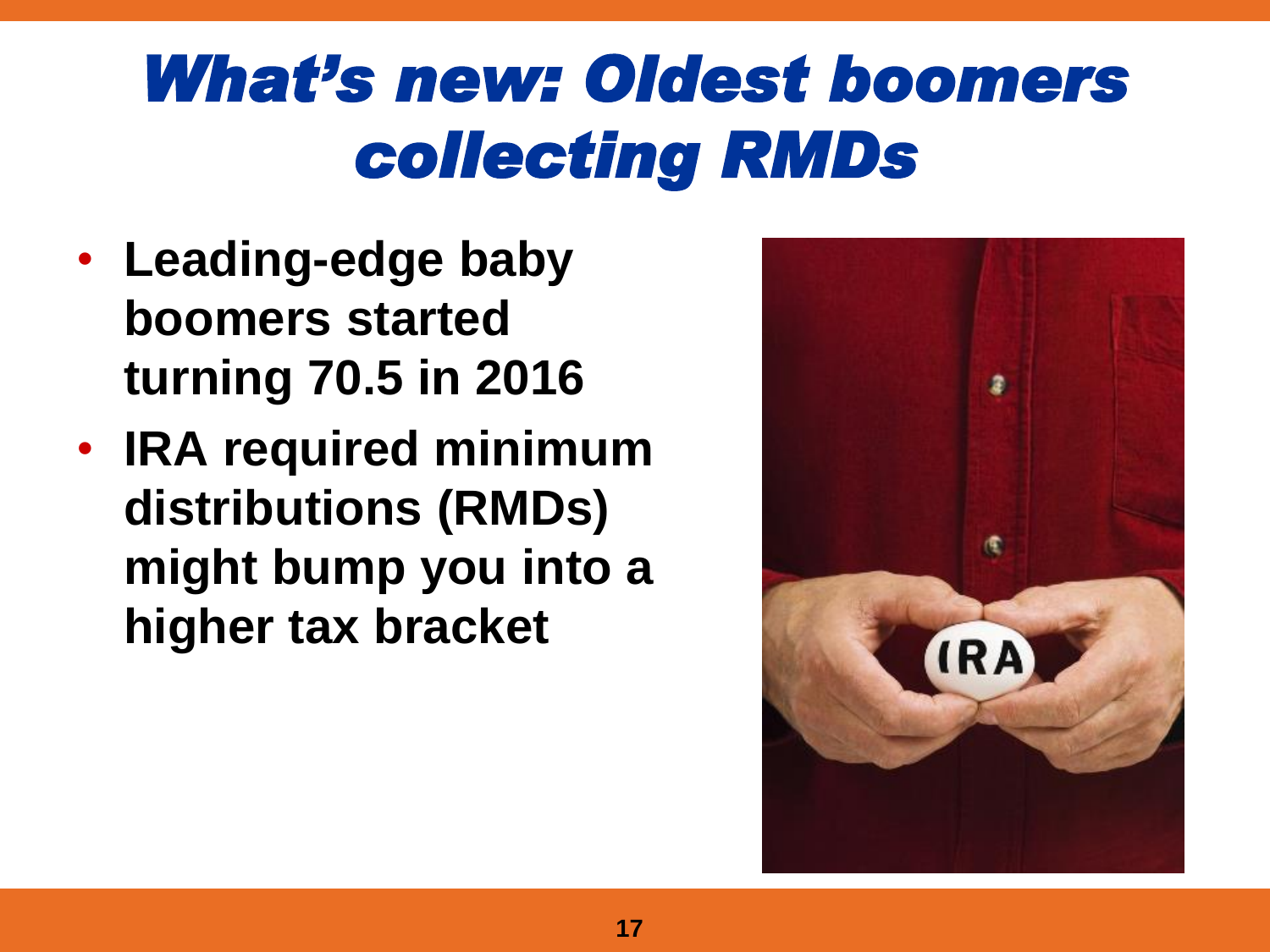## *What's new: Oldest boomers collecting RMDs*

- **Leading-edge baby boomers started turning 70.5 in 2016**
- **IRA required minimum distributions (RMDs) might bump you into a higher tax bracket**

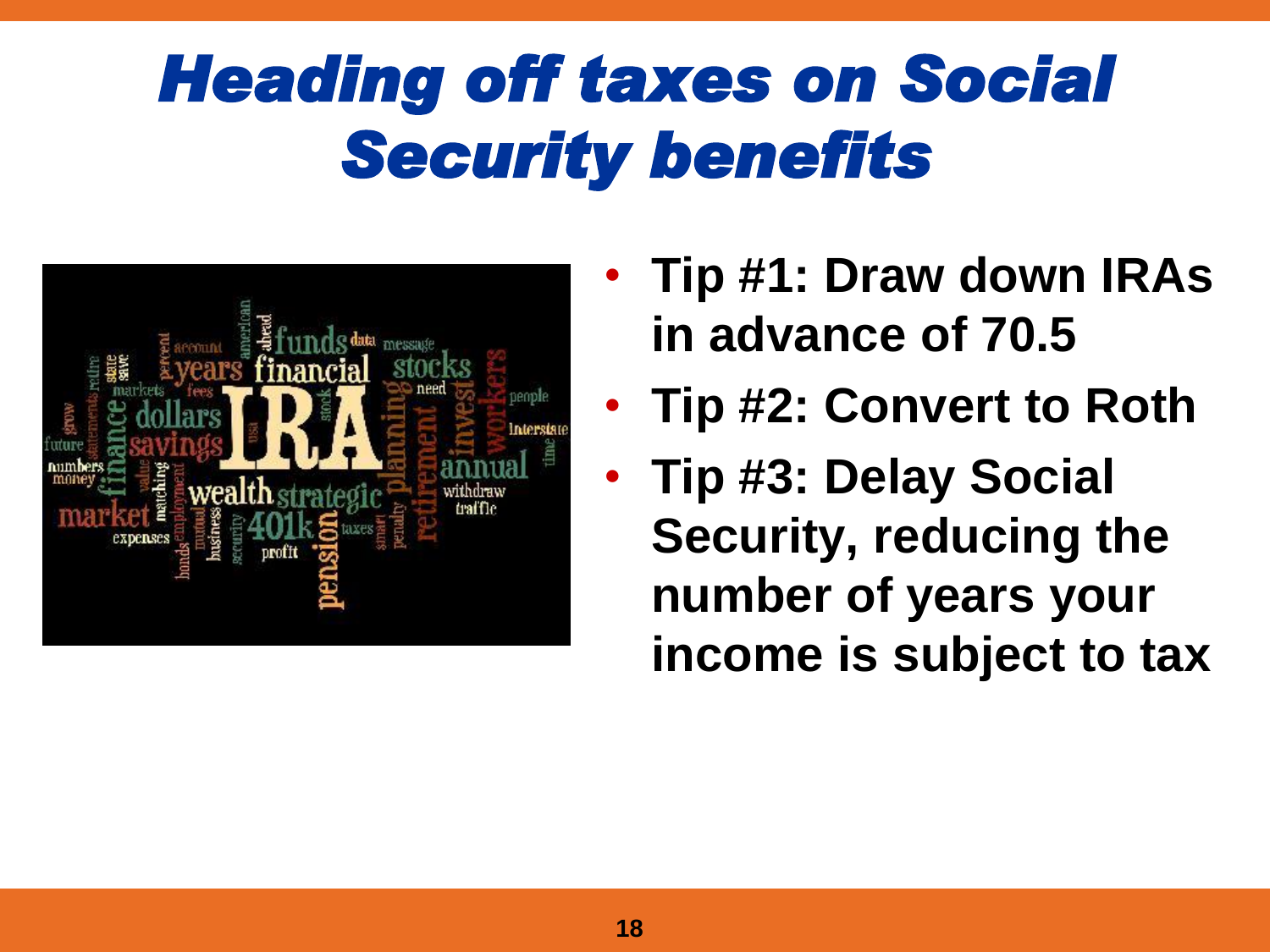## *Heading off taxes on Social Security benefits*



- **Tip #1: Draw down IRAs in advance of 70.5**
- **Tip #2: Convert to Roth**
- **Tip #3: Delay Social Security, reducing the number of years your income is subject to tax**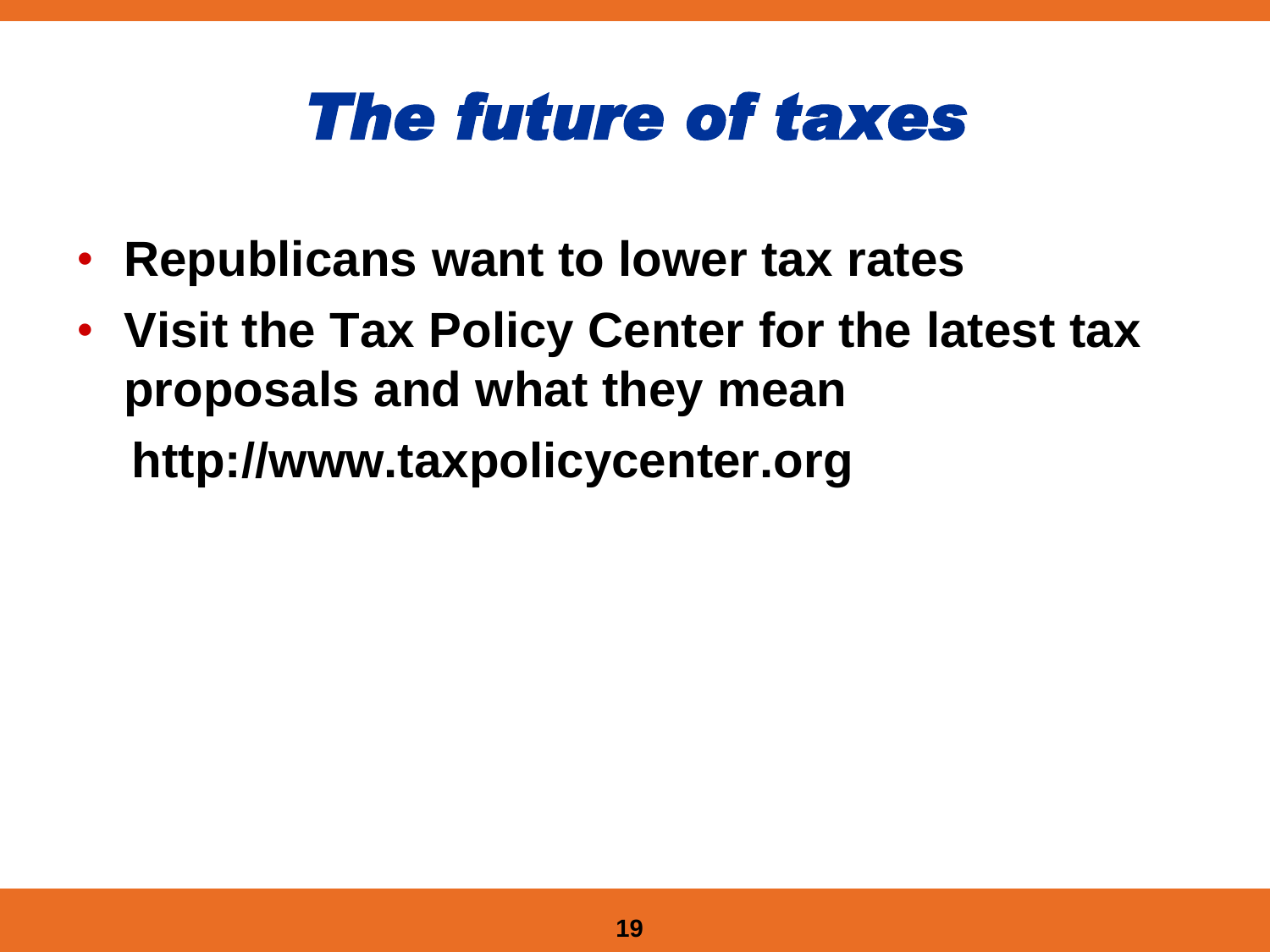#### *The future of taxes*

- **Republicans want to lower tax rates**
- **Visit the Tax Policy Center for the latest tax proposals and what they mean**

**http://www.taxpolicycenter.org**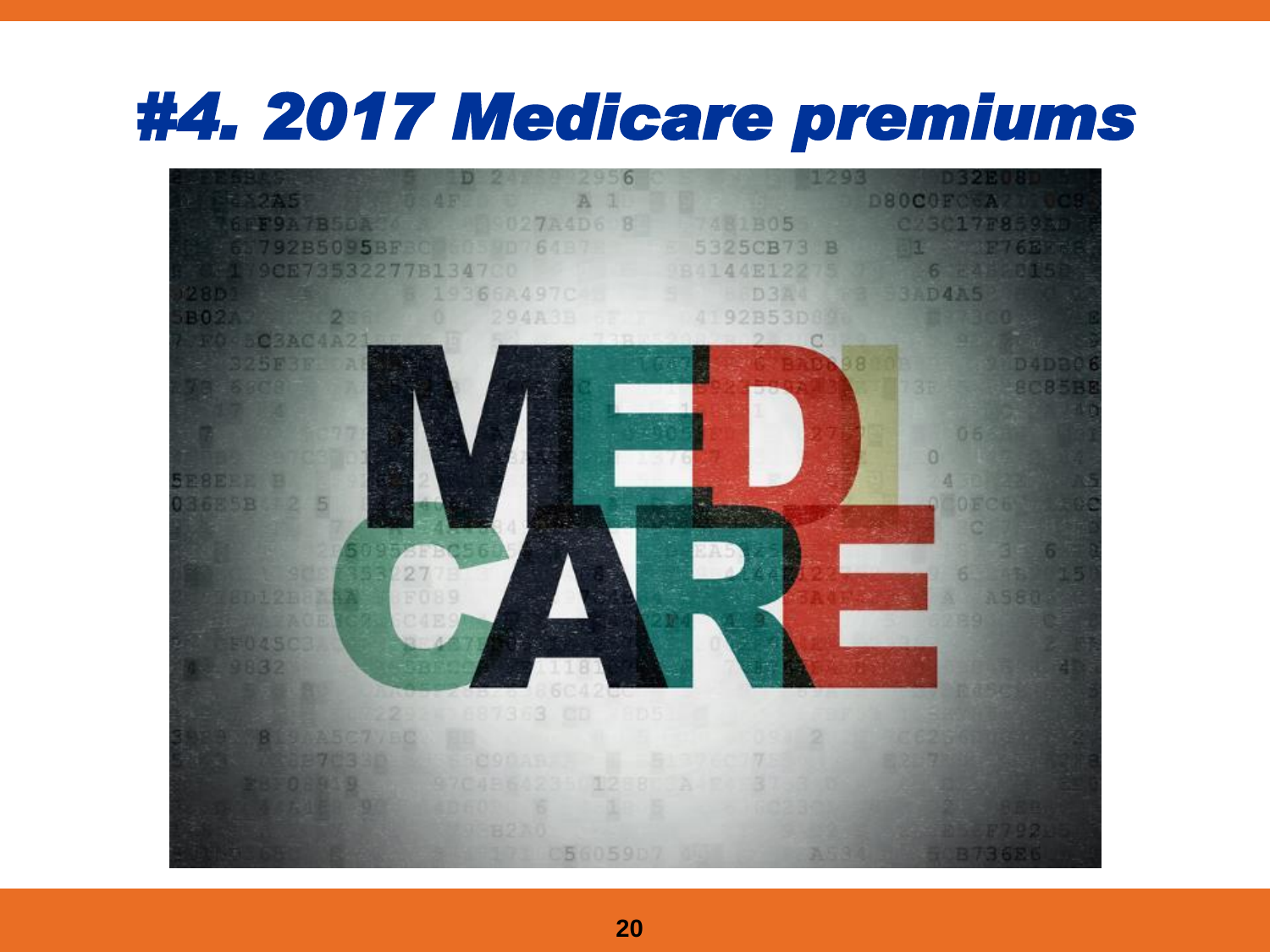#### *#4. 2017 Medicare premiums*

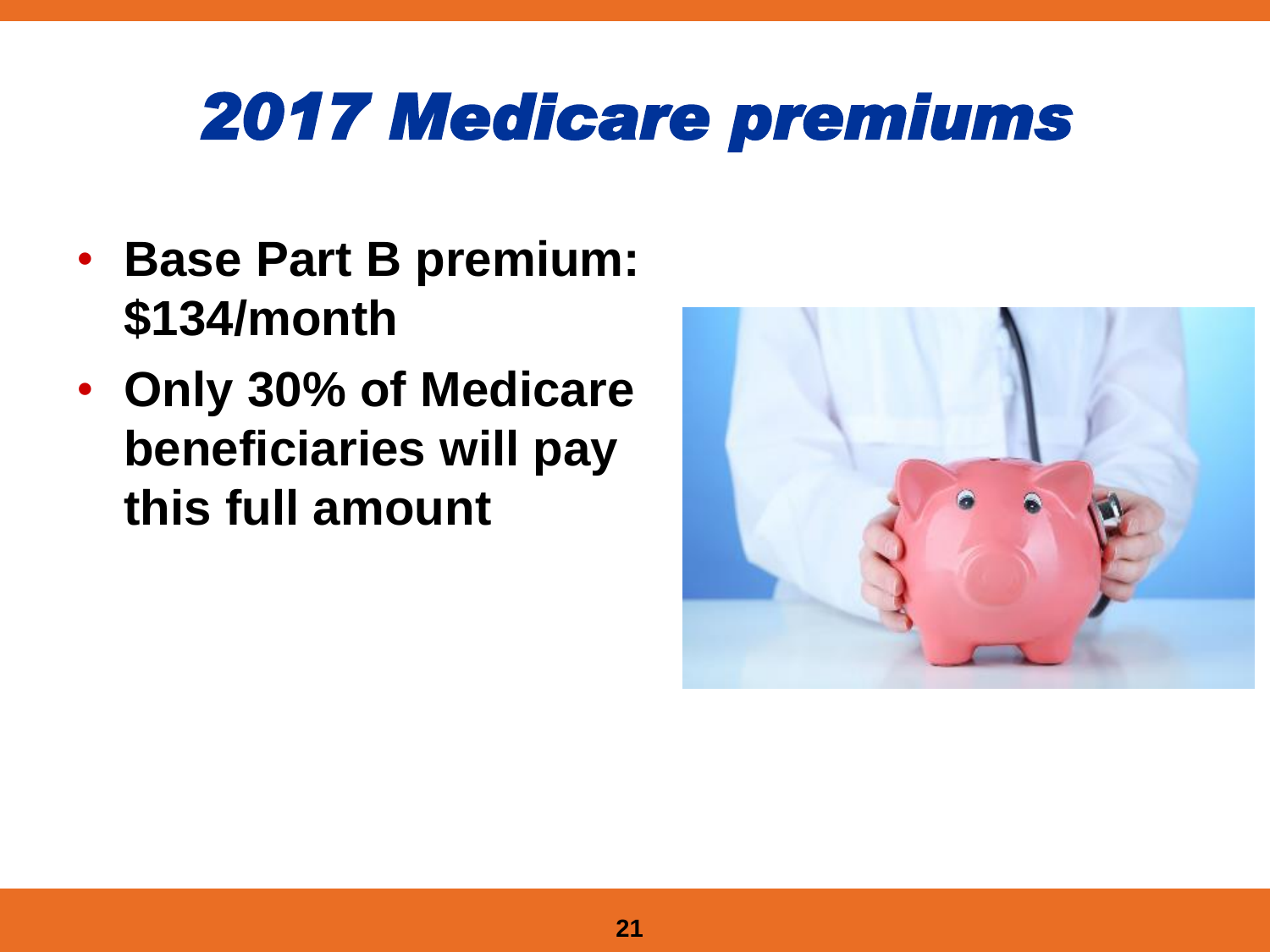## *2017 Medicare premiums*

- **Base Part B premium: \$134/month**
- **Only 30% of Medicare beneficiaries will pay this full amount**

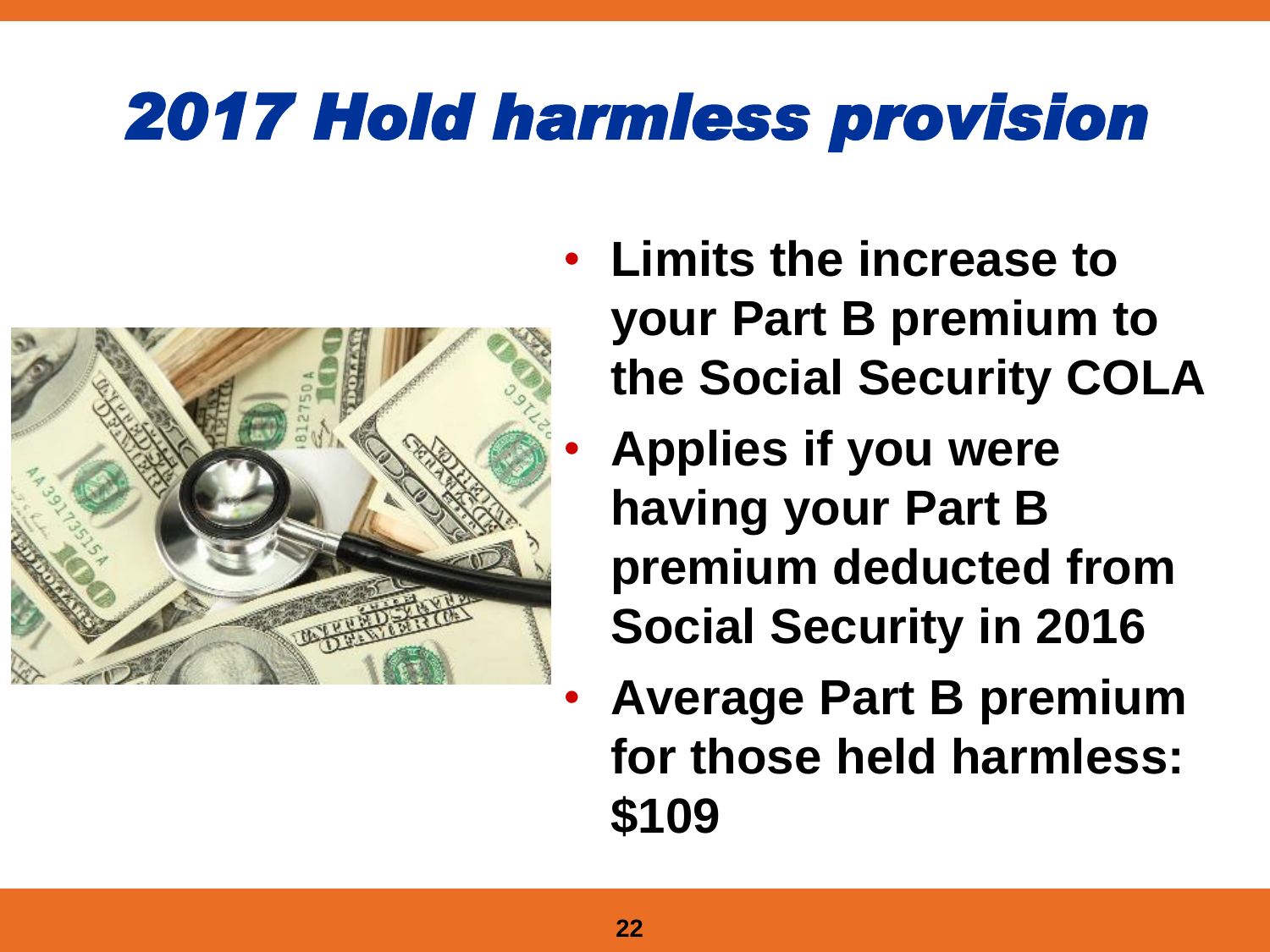## *2017 Hold harmless provision*



- **Limits the increase to your Part B premium to the Social Security COLA**
	- **Applies if you were having your Part B premium deducted from Social Security in 2016**
	- **Average Part B premium for those held harmless: \$109**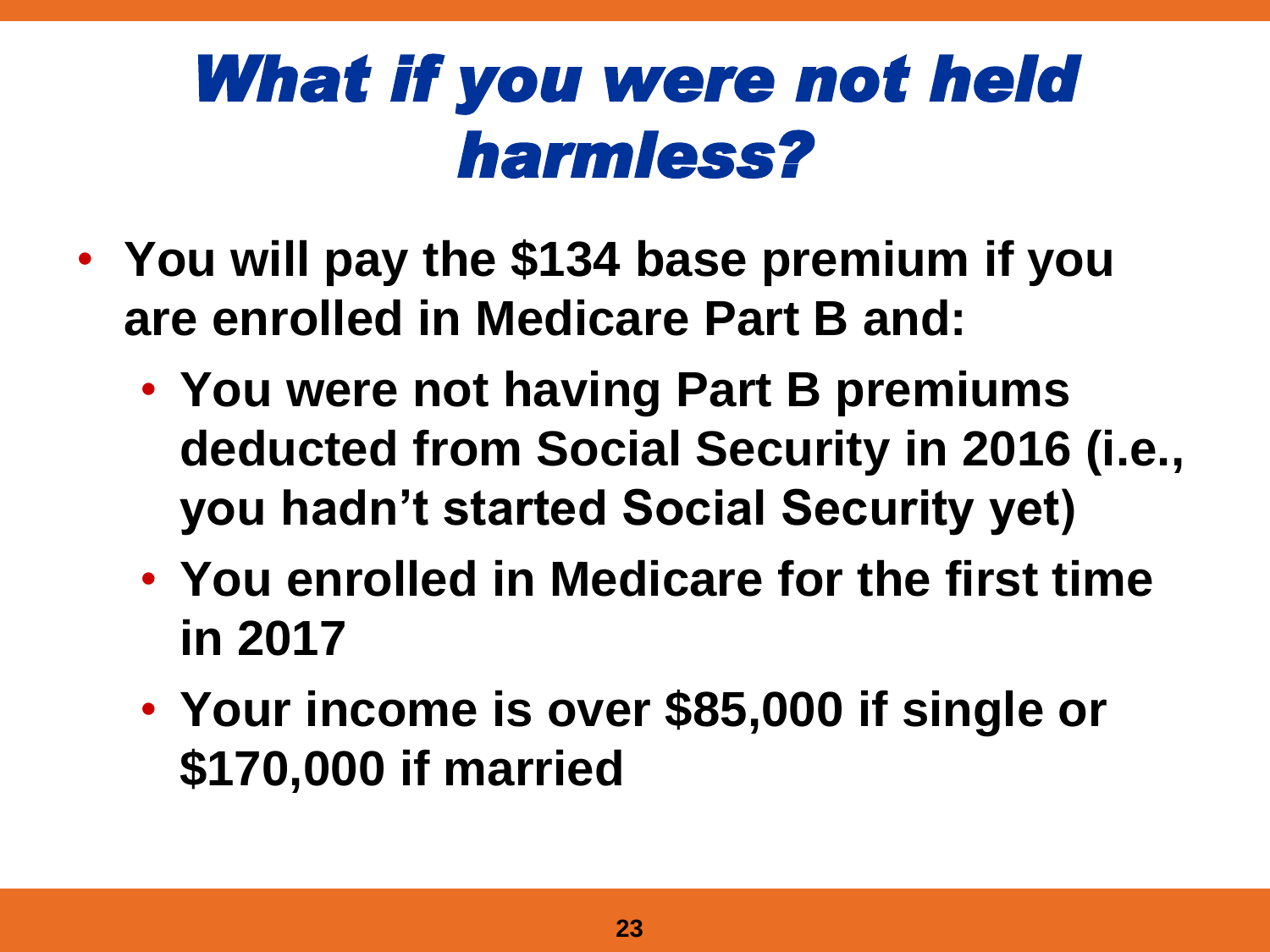## *What if you were not held harmless?*

- **You will pay the \$134 base premium if you are enrolled in Medicare Part B and:**
	- **You were not having Part B premiums deducted from Social Security in 2016 (i.e., you hadn't started Social Security yet)**
	- **You enrolled in Medicare for the first time in 2017**
	- **Your income is over \$85,000 if single or \$170,000 if married**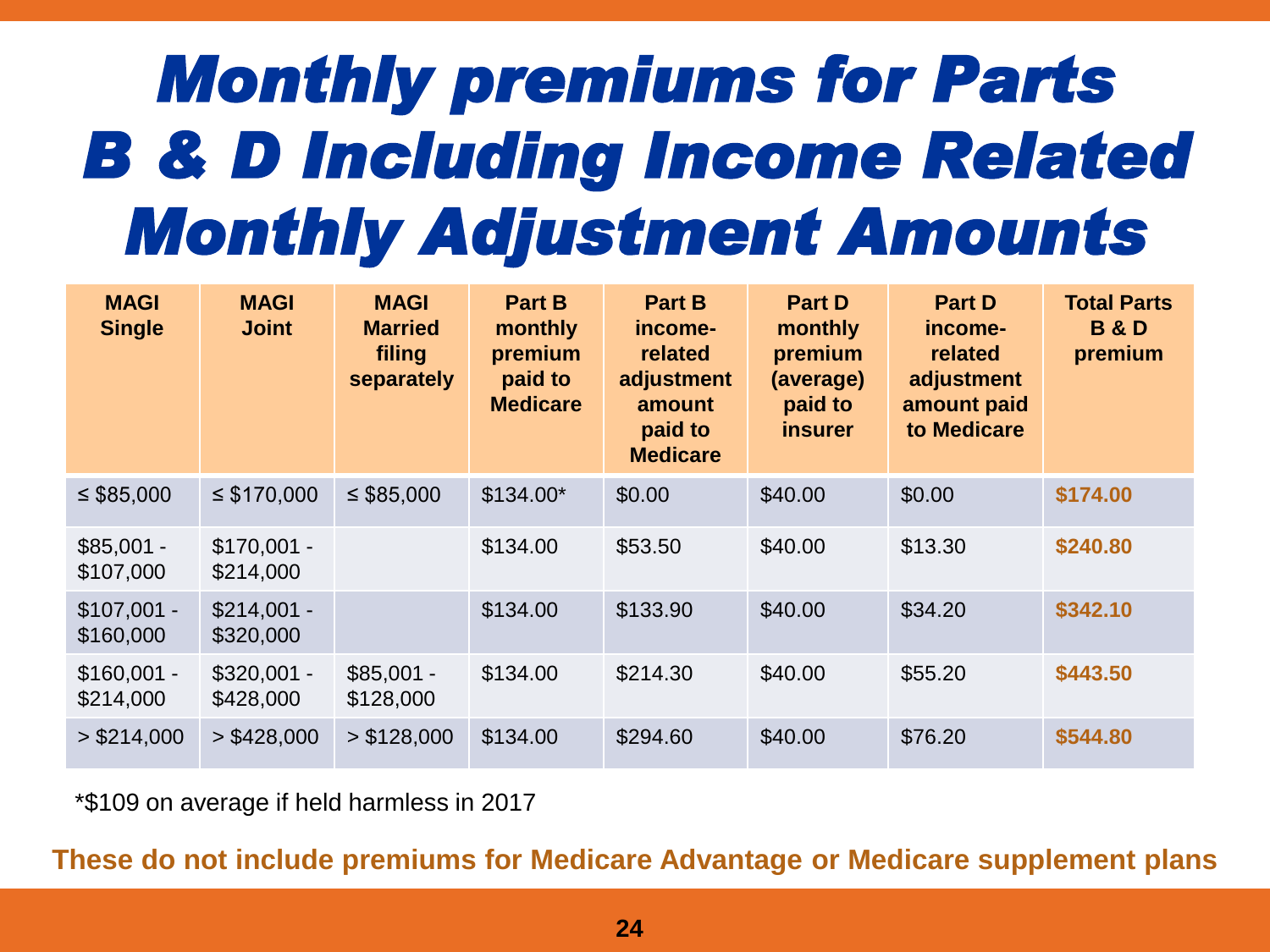## *Monthly premiums for Parts B & D Including Income Related Monthly Adjustment Amounts*

| <b>MAGI</b><br><b>Single</b> | <b>MAGI</b><br><b>Joint</b> | <b>MAGI</b><br><b>Married</b><br>filing<br>separately | <b>Part B</b><br>monthly<br>premium<br>paid to<br><b>Medicare</b> | <b>Part B</b><br>income-<br>related<br>adjustment<br>amount<br>paid to<br><b>Medicare</b> | <b>Part D</b><br>monthly<br>premium<br>(average)<br>paid to<br><i>insurer</i> | <b>Part D</b><br>income-<br>related<br>adjustment<br>amount paid<br>to Medicare | <b>Total Parts</b><br><b>B&amp;D</b><br>premium |
|------------------------------|-----------------------------|-------------------------------------------------------|-------------------------------------------------------------------|-------------------------------------------------------------------------------------------|-------------------------------------------------------------------------------|---------------------------------------------------------------------------------|-------------------------------------------------|
| $\leq$ \$85,000              | $\leq$ \$170,000            | $\leq$ \$85,000                                       | $$134.00*$                                                        | \$0.00                                                                                    | \$40.00                                                                       | \$0.00                                                                          | \$174.00                                        |
| $$85,001 -$<br>\$107,000     | $$170,001 -$<br>\$214,000   |                                                       | \$134.00                                                          | \$53.50                                                                                   | \$40.00                                                                       | \$13.30                                                                         | \$240.80                                        |
| $$107,001 -$<br>\$160,000    | $$214,001 -$<br>\$320,000   |                                                       | \$134.00                                                          | \$133.90                                                                                  | \$40.00                                                                       | \$34.20                                                                         | \$342.10                                        |
| $$160,001 -$<br>\$214,000    | $$320,001 -$<br>\$428,000   | $$85,001 -$<br>\$128,000                              | \$134.00                                                          | \$214.30                                                                                  | \$40.00                                                                       | \$55.20                                                                         | \$443.50                                        |
| > \$214,000                  | > \$428,000                 | > \$128,000                                           | \$134.00                                                          | \$294.60                                                                                  | \$40.00                                                                       | \$76.20                                                                         | \$544.80                                        |

\*\$109 on average if held harmless in 2017

**These do not include premiums for Medicare Advantage or Medicare supplement plans**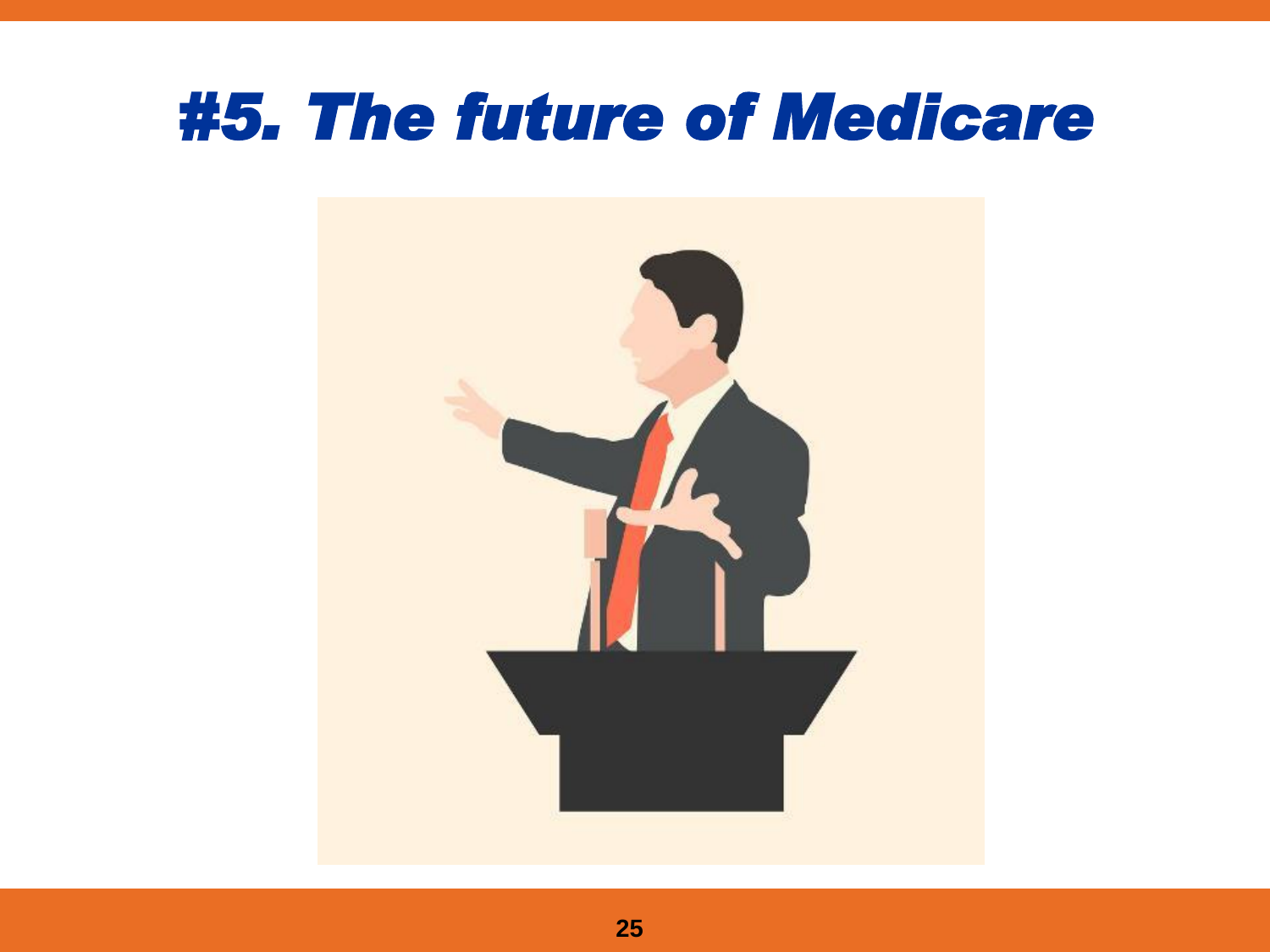#### *#5. The future of Medicare*

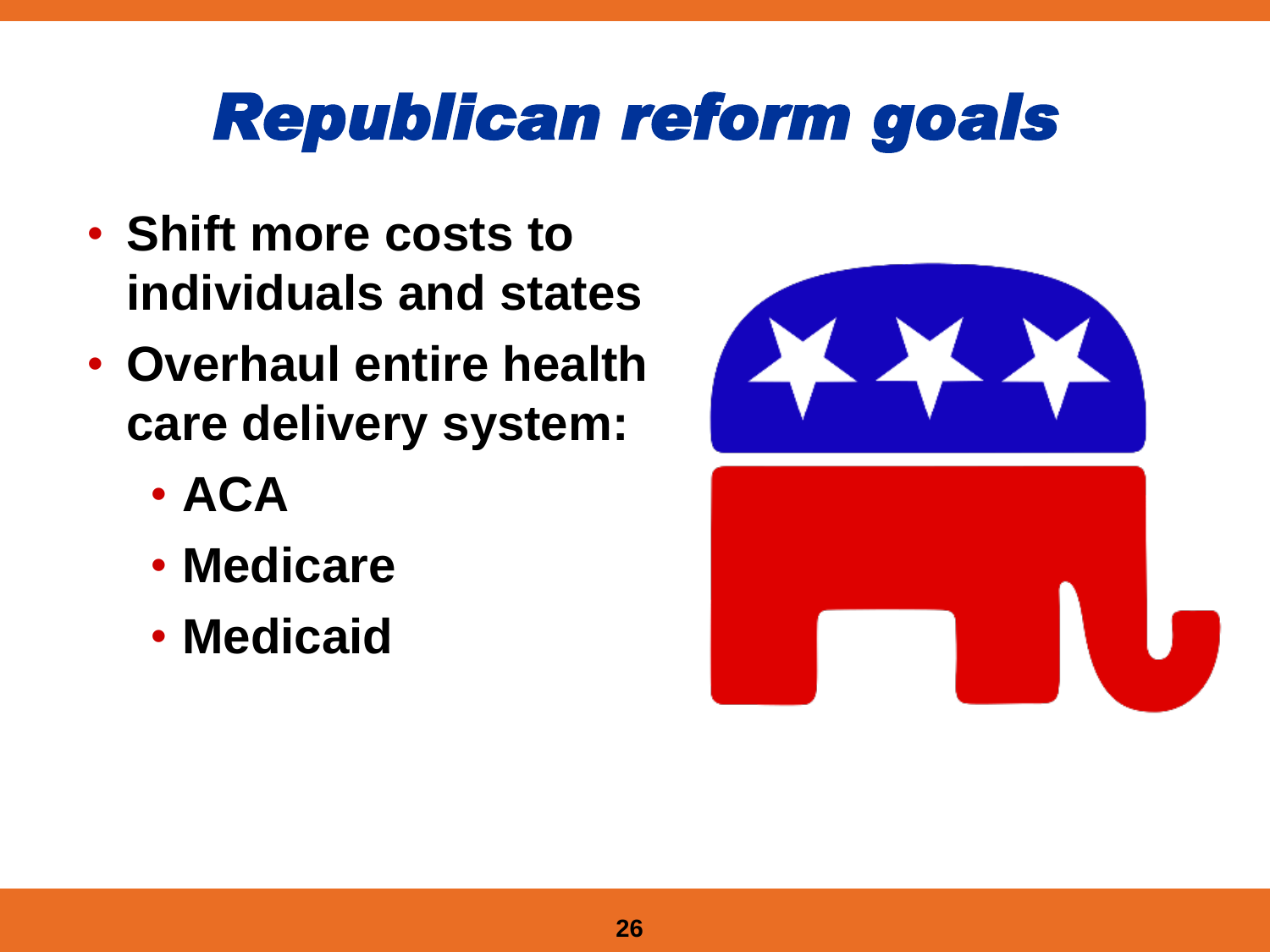#### *Republican reform goals*

- **Shift more costs to individuals and states**
- **Overhaul entire health care delivery system:**
	- **ACA**
	- **Medicare**
	- **Medicaid**

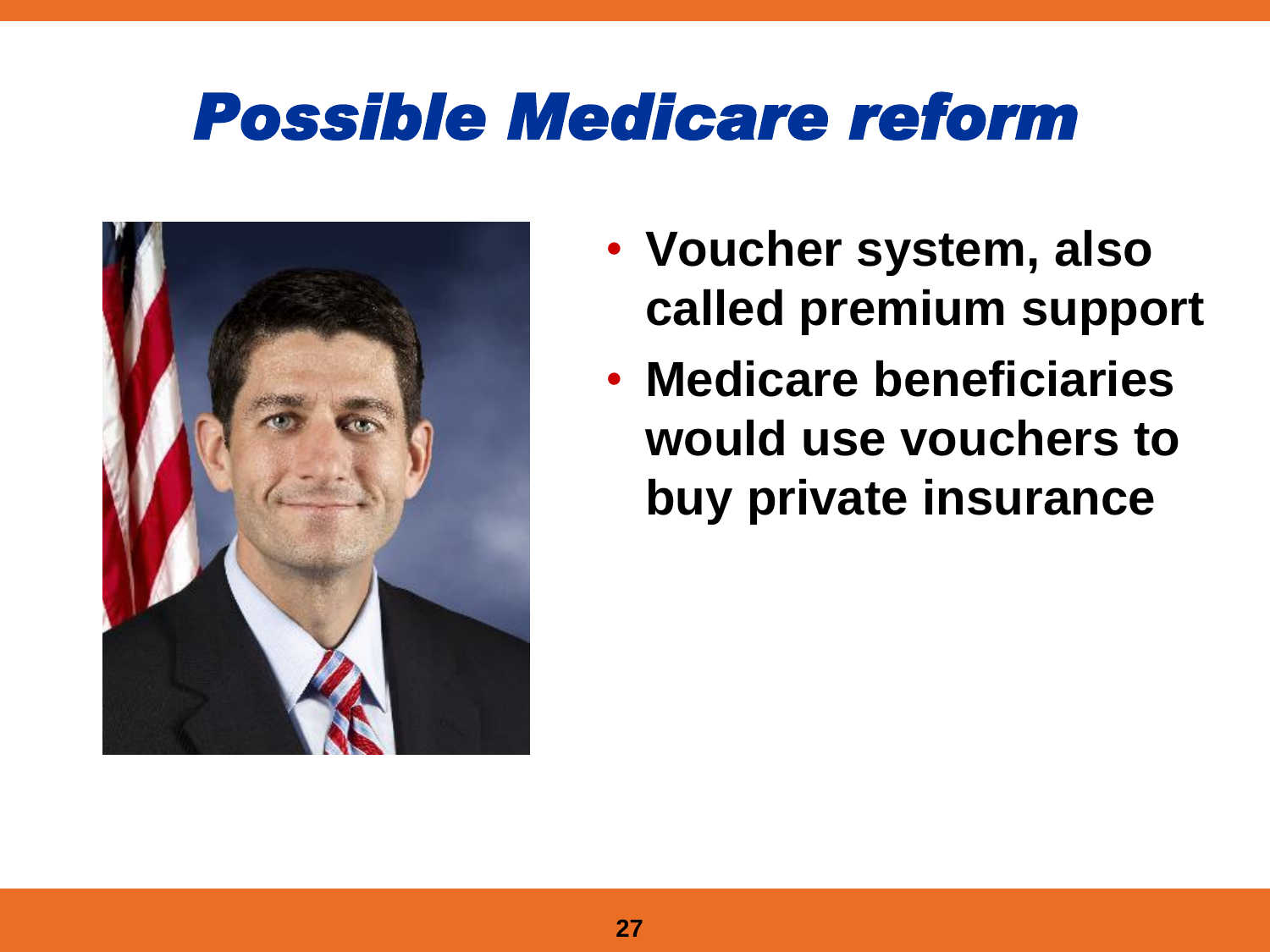#### *Possible Medicare reform*



- **Voucher system, also called premium support**
- **Medicare beneficiaries would use vouchers to buy private insurance**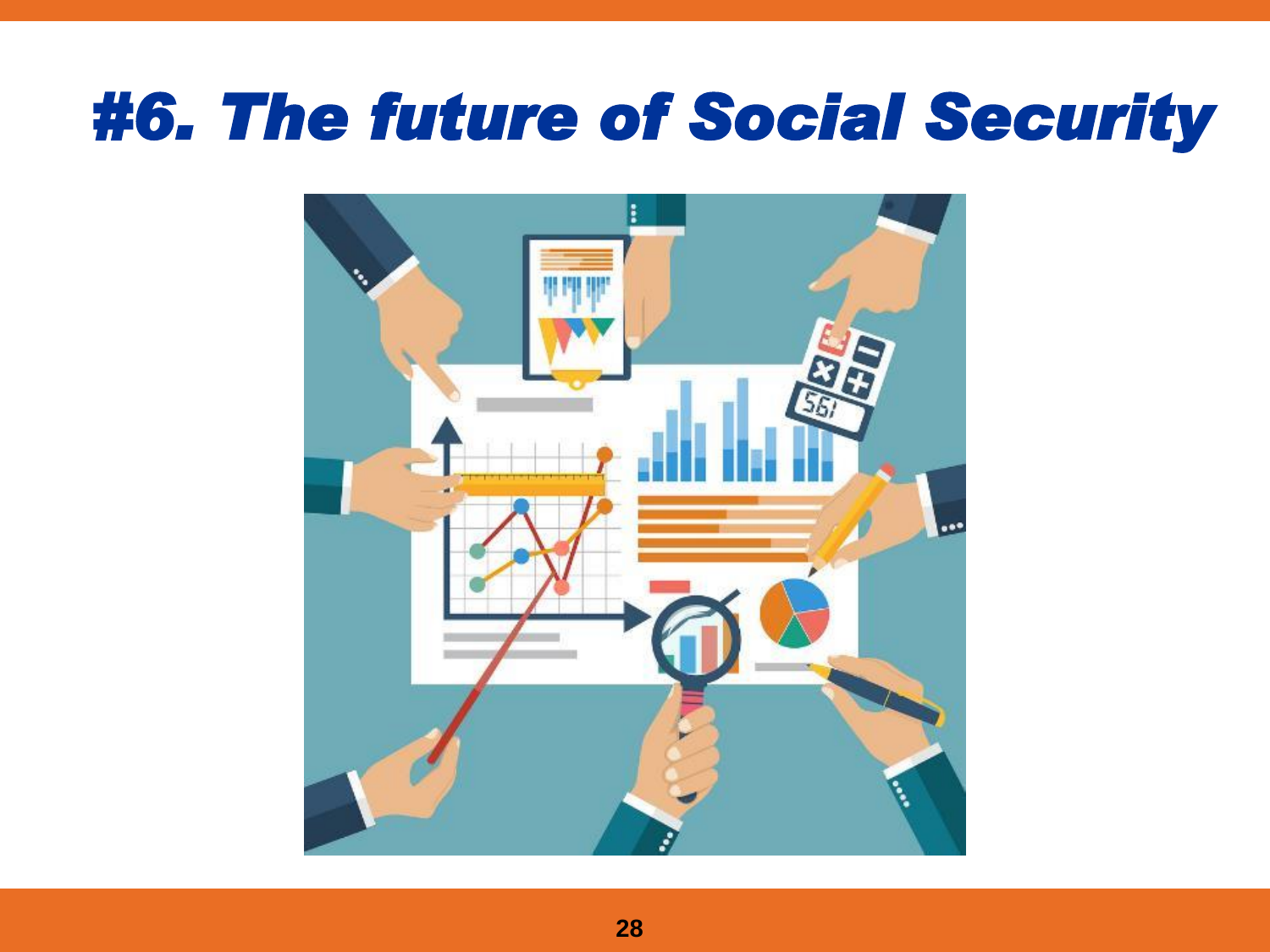#### *#6. The future of Social Security*

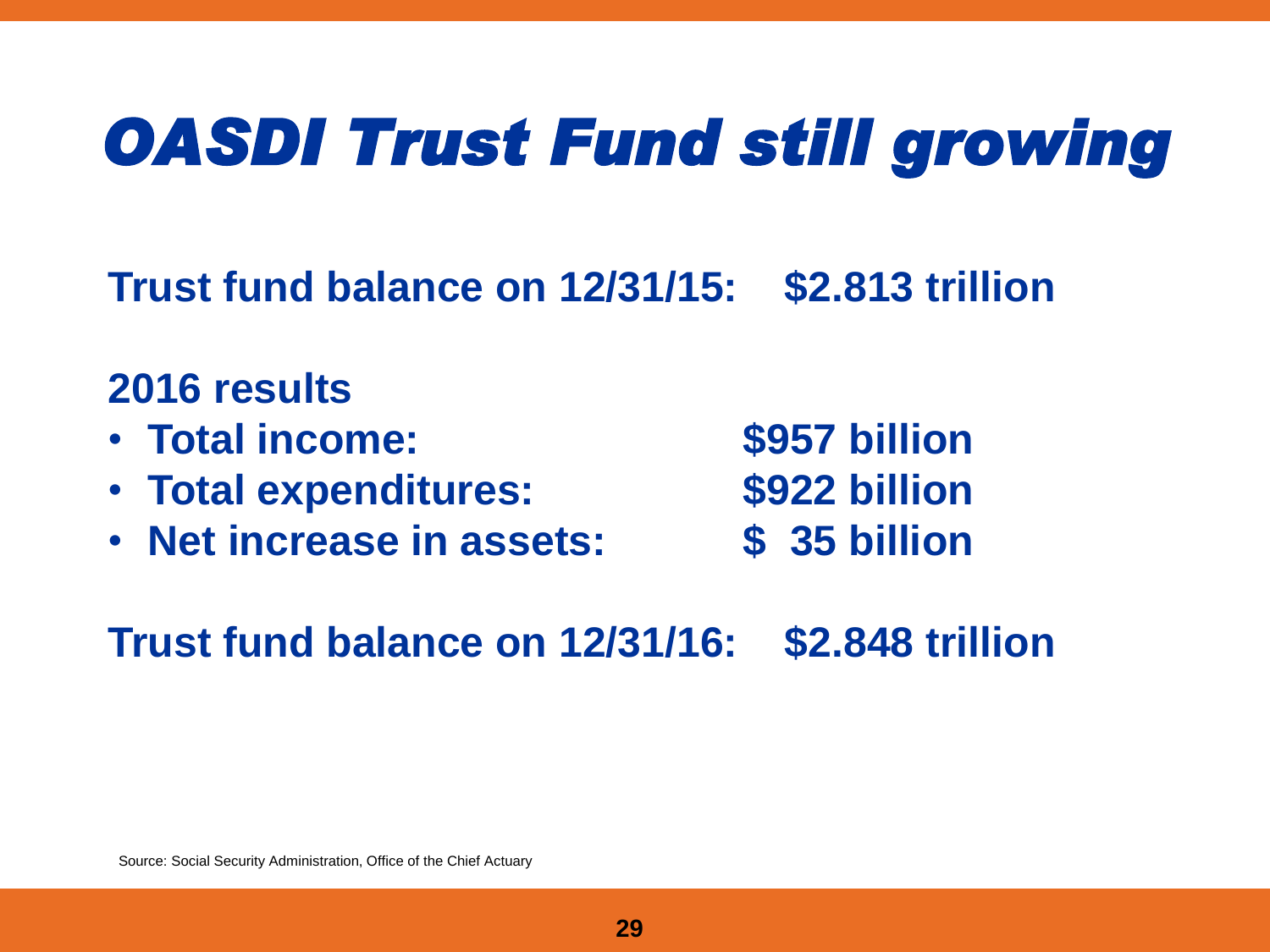## *OASDI Trust Fund still growing*

**Trust fund balance on 12/31/15: \$2.813 trillion**

#### **2016 results**

- **Total income: \$957 billion**
- **Total expenditures: \$922 billion**
- **Net increase in assets: \$ 35 billion**

**Trust fund balance on 12/31/16: \$2.848 trillion**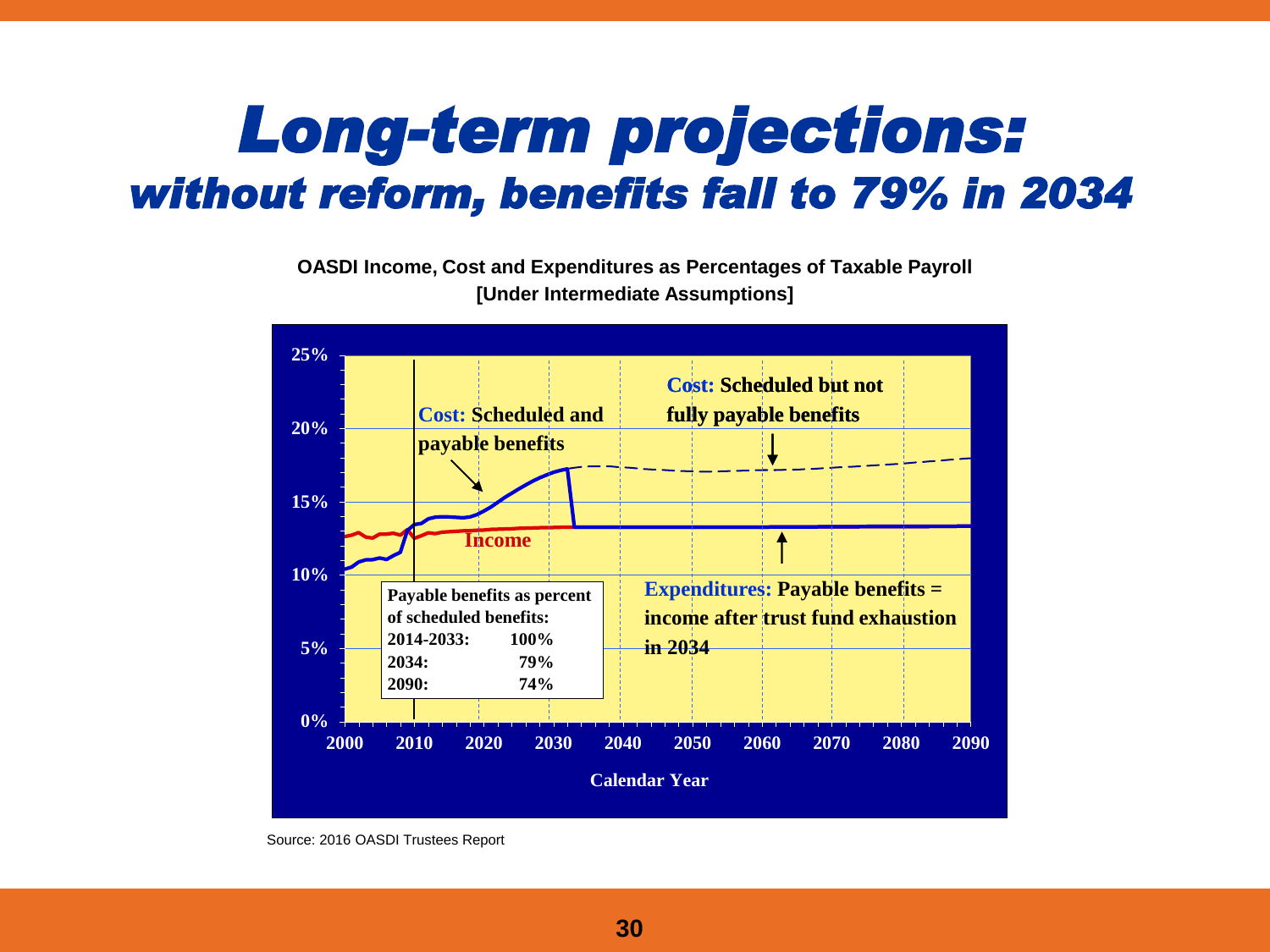#### *Long-term projections: without reform, benefits fall to 79% in 2034*

**OASDI Income, Cost and Expenditures as Percentages of Taxable Payroll [Under Intermediate Assumptions]**



Source: 2016 OASDI Trustees Report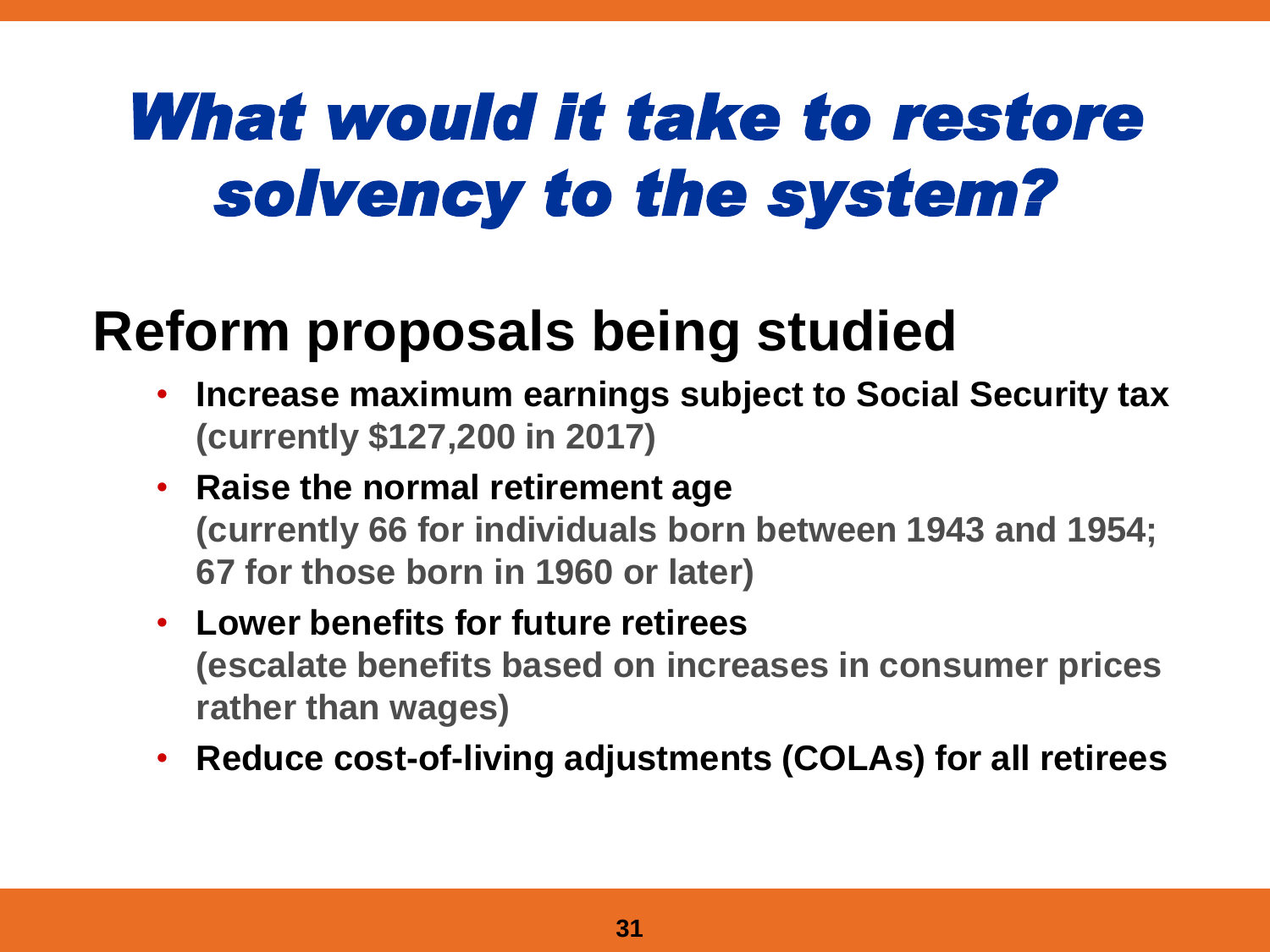## *What would it take to restore solvency to the system?*

#### **Reform proposals being studied**

- **Increase maximum earnings subject to Social Security tax (currently \$127,200 in 2017)**
- **Raise the normal retirement age (currently 66 for individuals born between 1943 and 1954; 67 for those born in 1960 or later)**
- **Lower benefits for future retirees (escalate benefits based on increases in consumer prices rather than wages)**
- **Reduce cost-of-living adjustments (COLAs) for all retirees**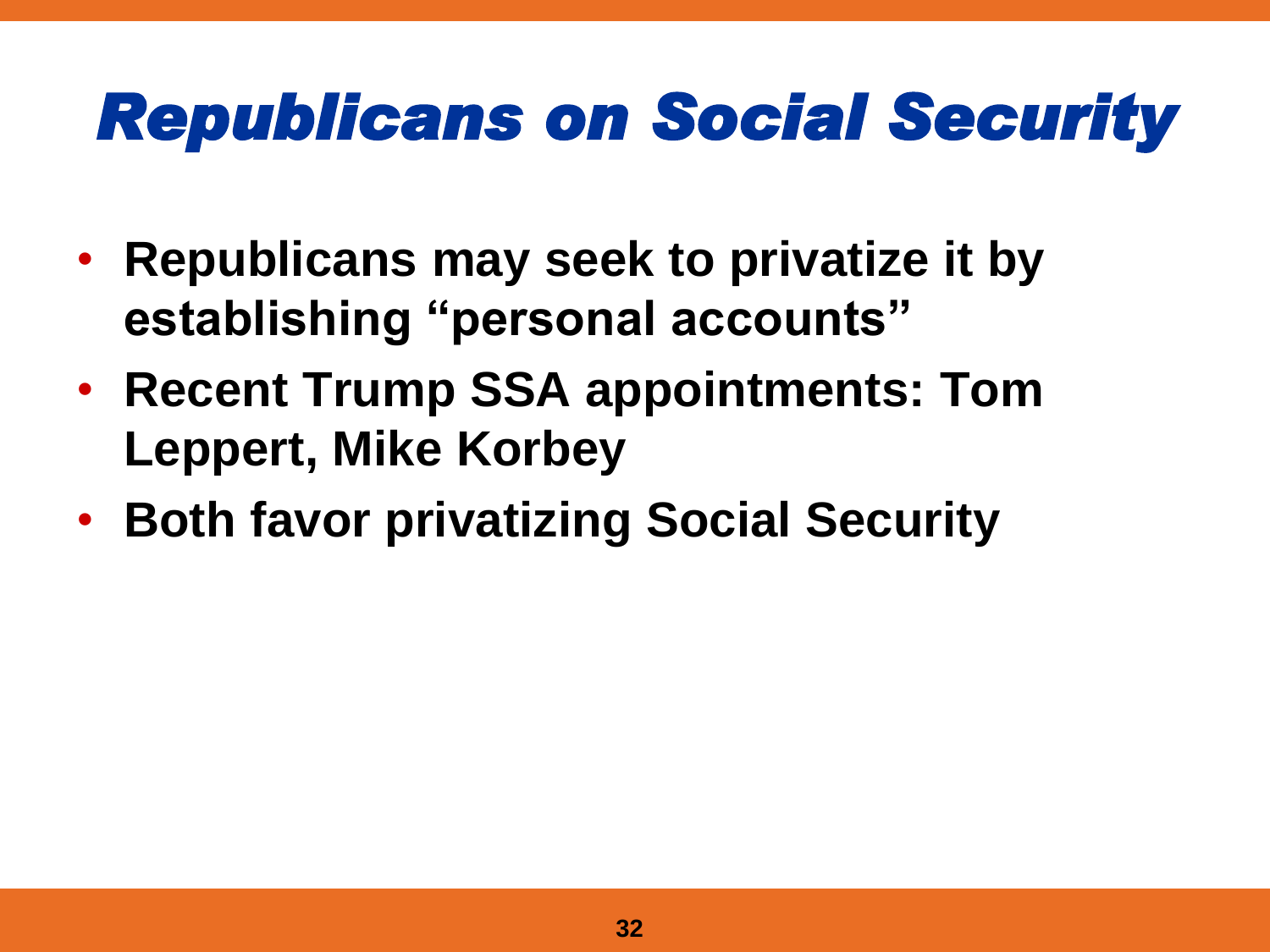## *Republicans on Social Security*

- **Republicans may seek to privatize it by establishing "personal accounts"**
- **Recent Trump SSA appointments: Tom Leppert, Mike Korbey**
- **Both favor privatizing Social Security**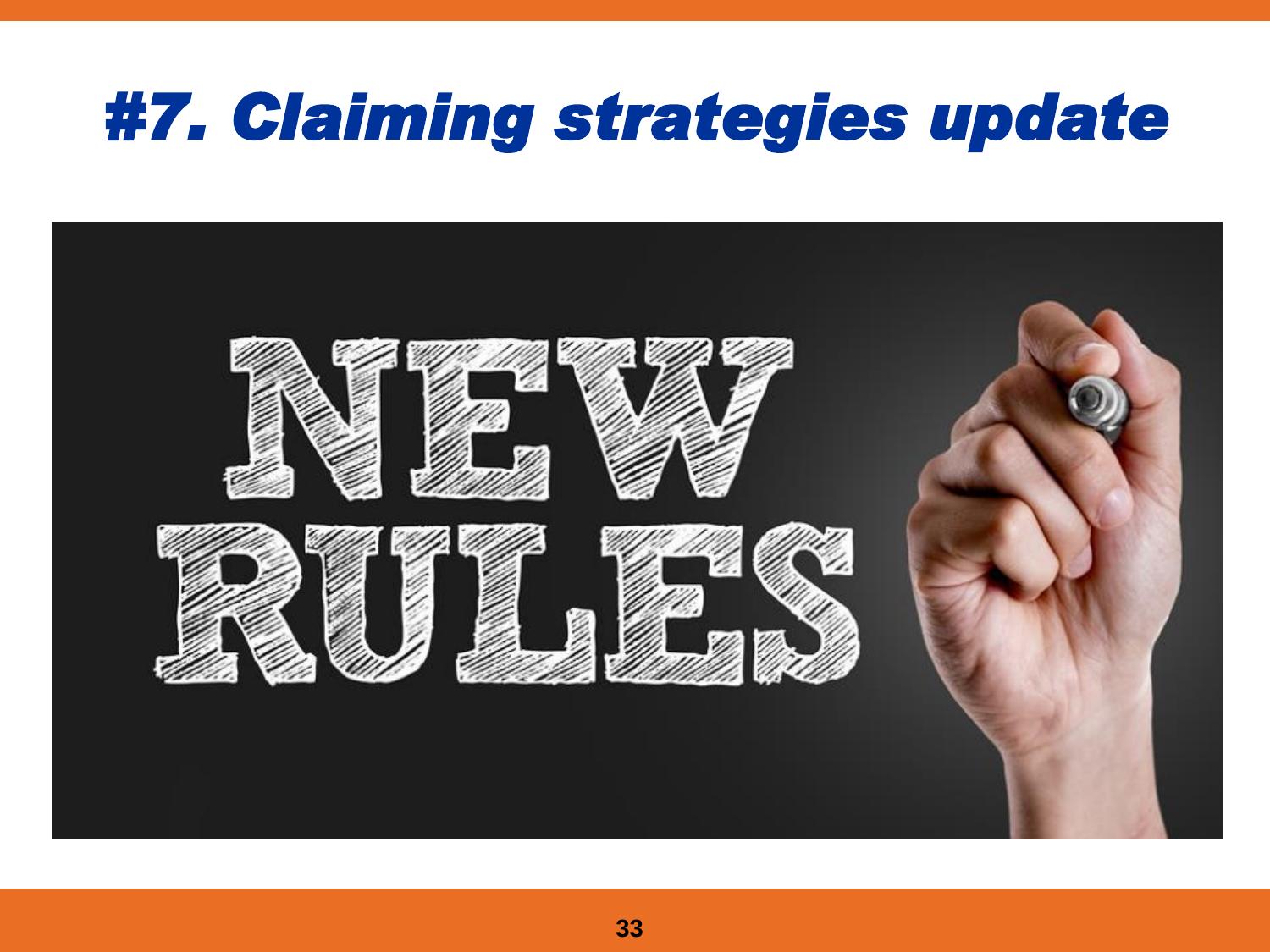#### *#7. Claiming strategies update*

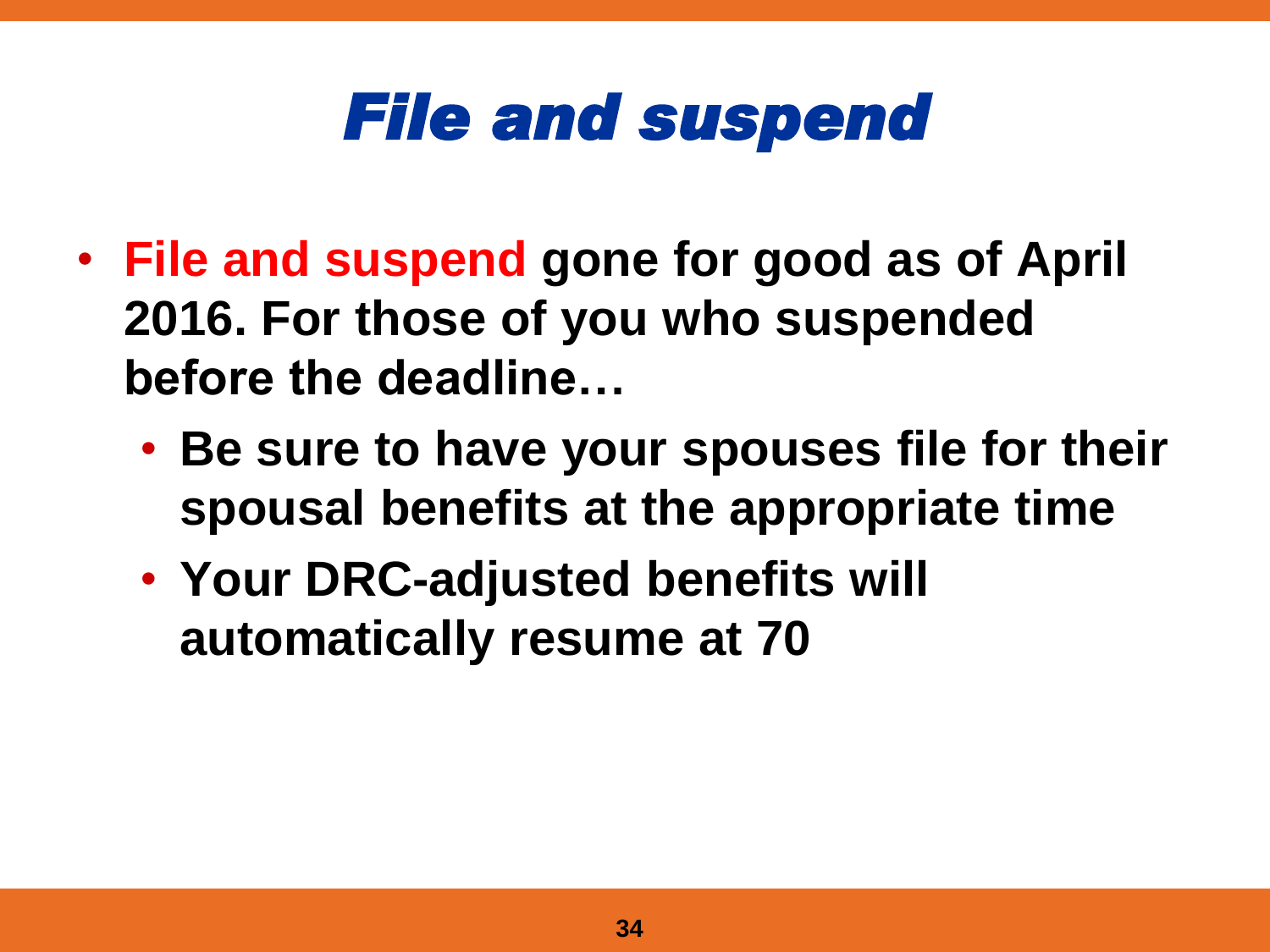#### *File and suspend*

- **File and suspend gone for good as of April 2016. For those of you who suspended before the deadline…**
	- **Be sure to have your spouses file for their spousal benefits at the appropriate time**
	- **Your DRC-adjusted benefits will automatically resume at 70**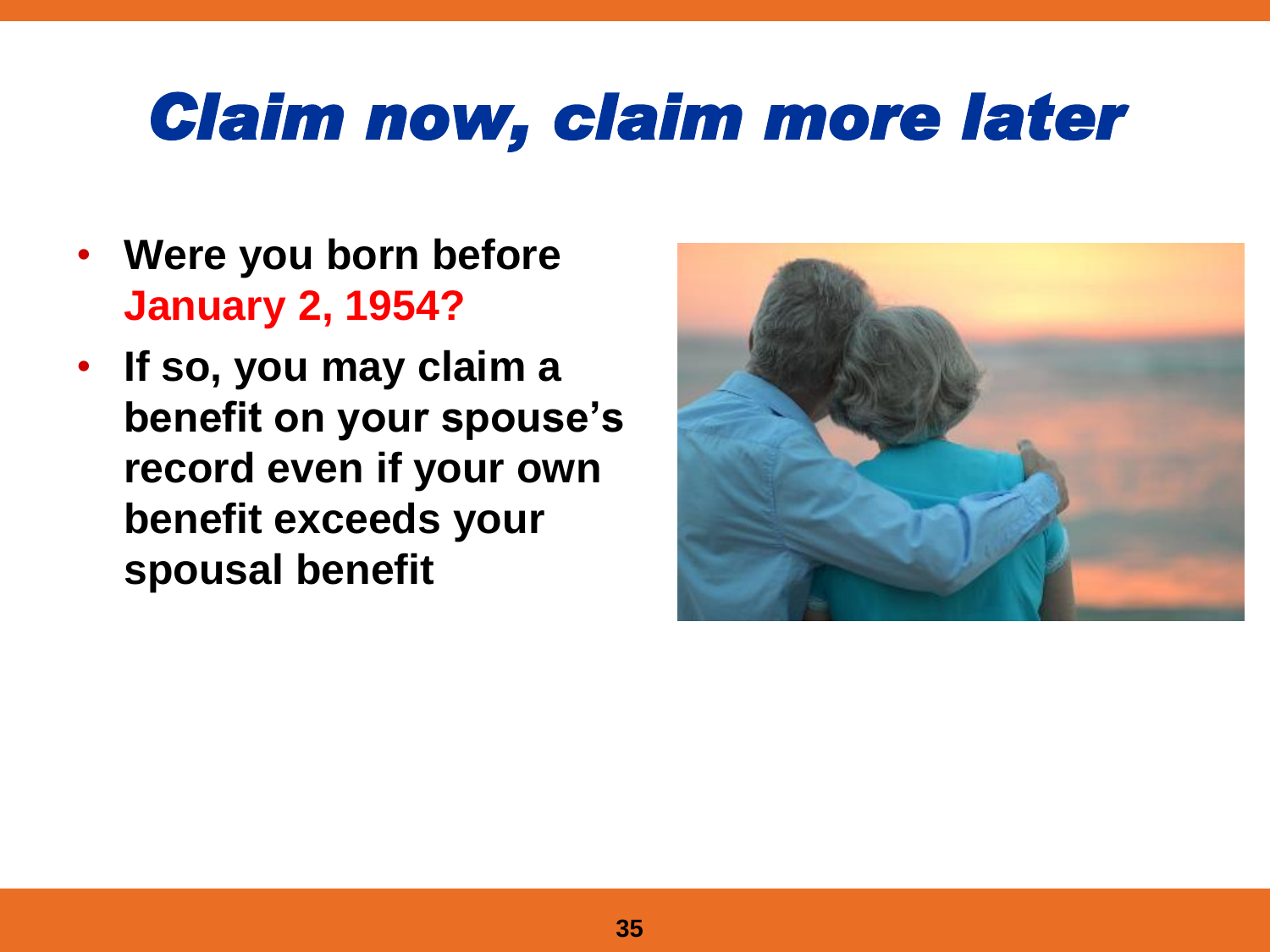## *Claim now, claim more later*

- **Were you born before January 2, 1954?**
- **If so, you may claim a benefit on your spouse's record even if your own benefit exceeds your spousal benefit**

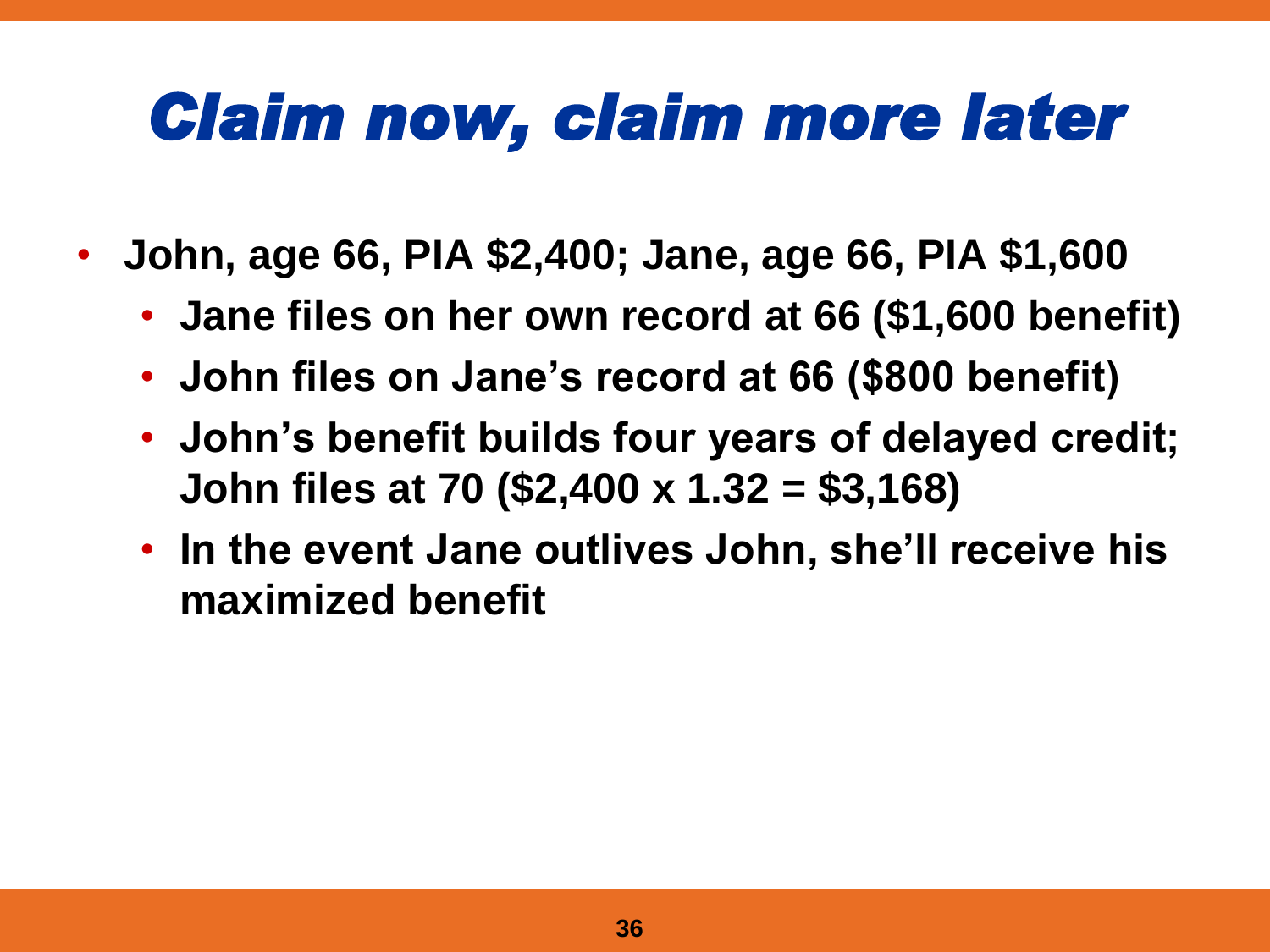## *Claim now, claim more later*

- **John, age 66, PIA \$2,400; Jane, age 66, PIA \$1,600** 
	- **Jane files on her own record at 66 (\$1,600 benefit)**
	- **John files on Jane's record at 66 (\$800 benefit)**
	- **John's benefit builds four years of delayed credit; John files at 70 (\$2,400 x 1.32 = \$3,168)**
	- **In the event Jane outlives John, she'll receive his maximized benefit**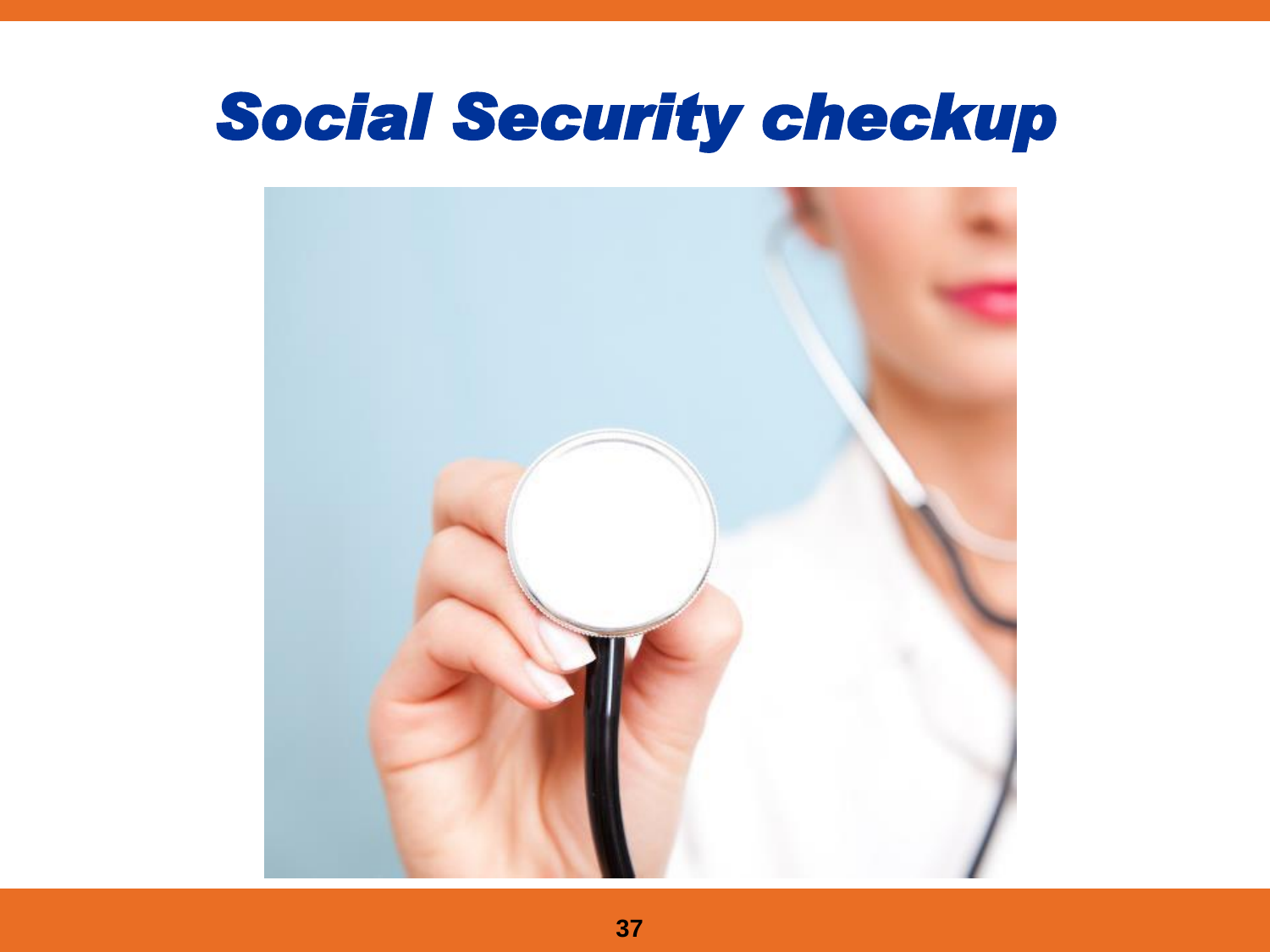#### *Social Security checkup*

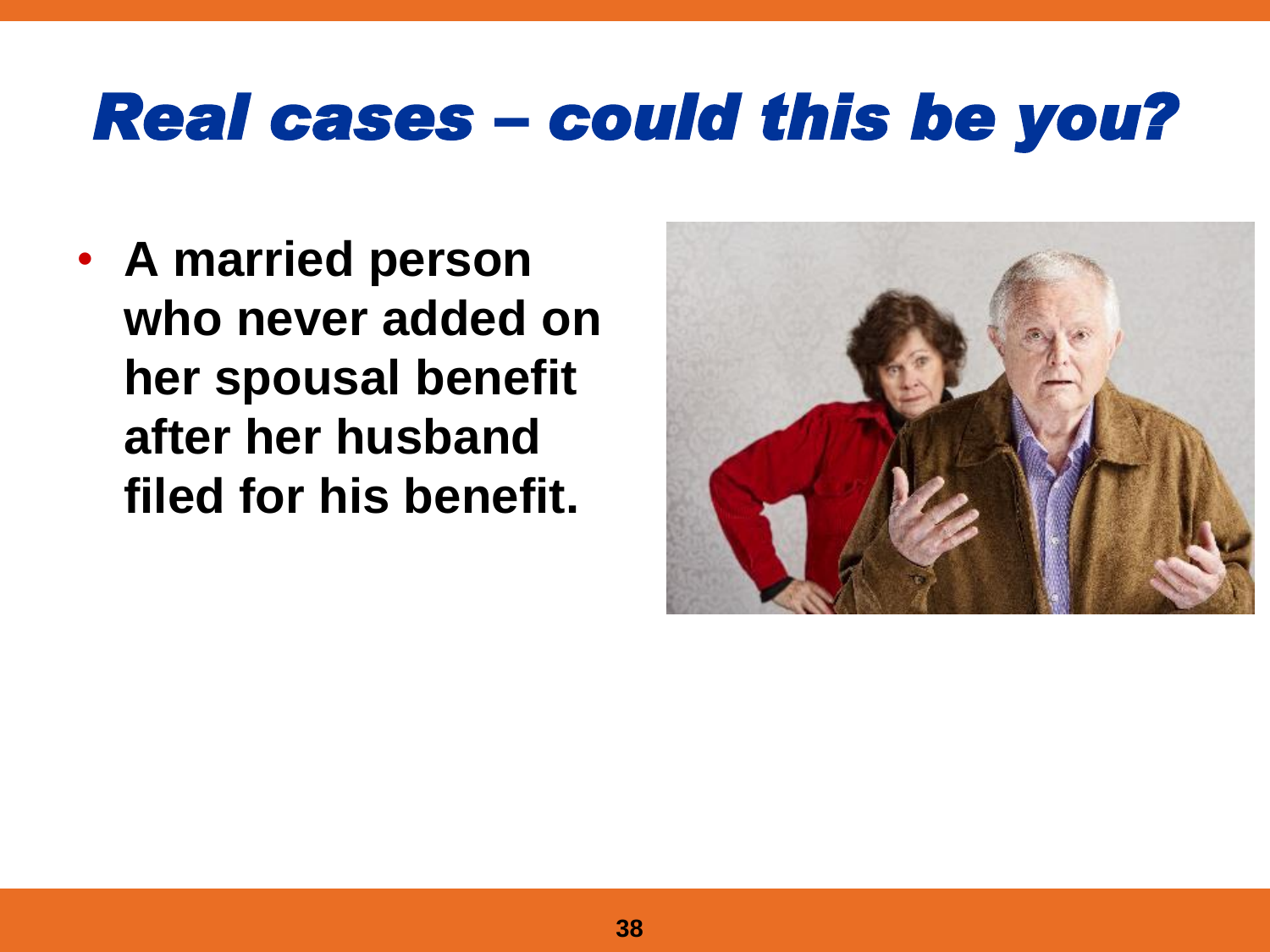#### *Real cases – could this be you?*

• **A married person who never added on her spousal benefit after her husband filed for his benefit.**

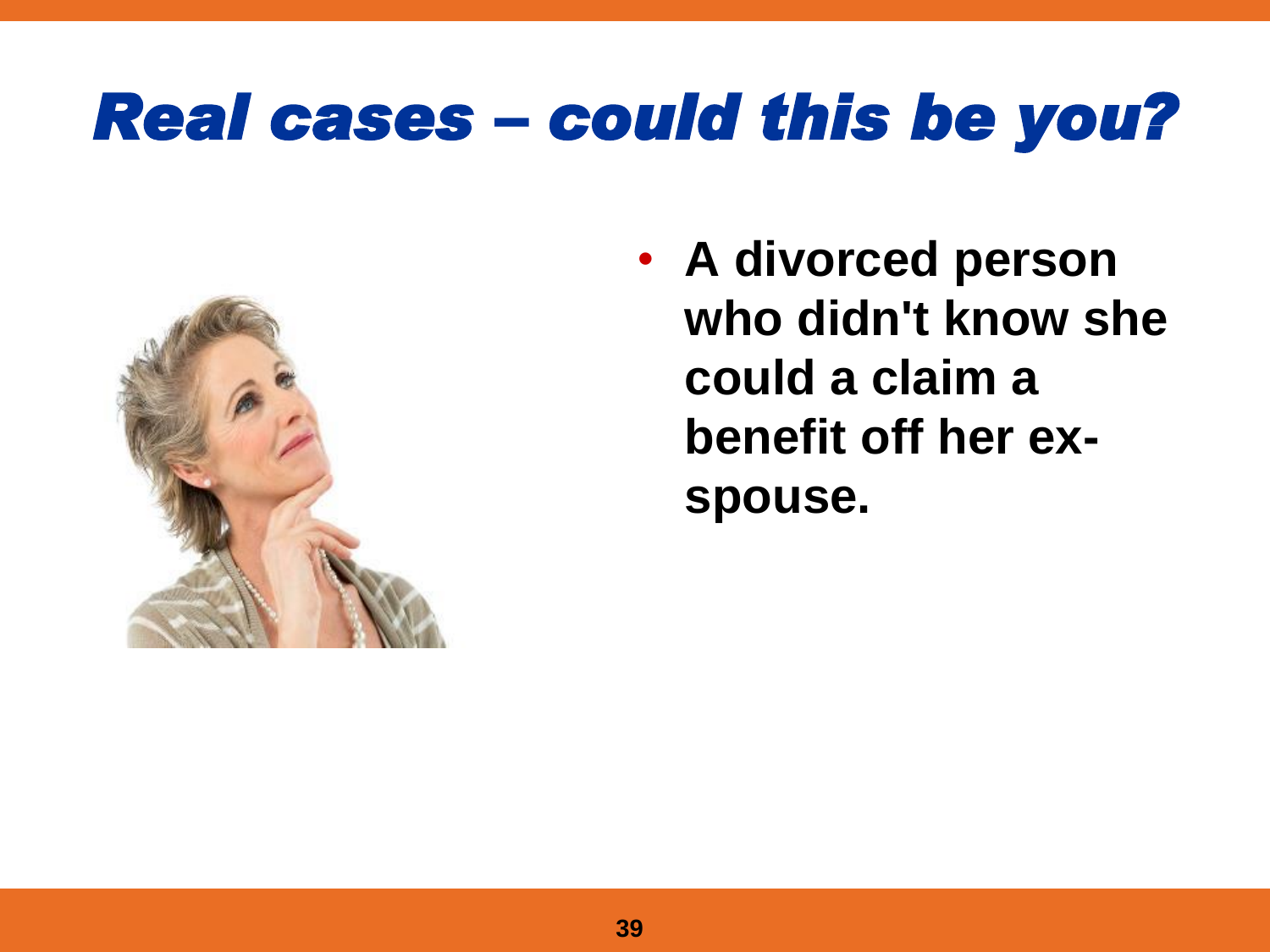#### *Real cases – could this be you?*



• **A divorced person who didn't know she could a claim a benefit off her exspouse.**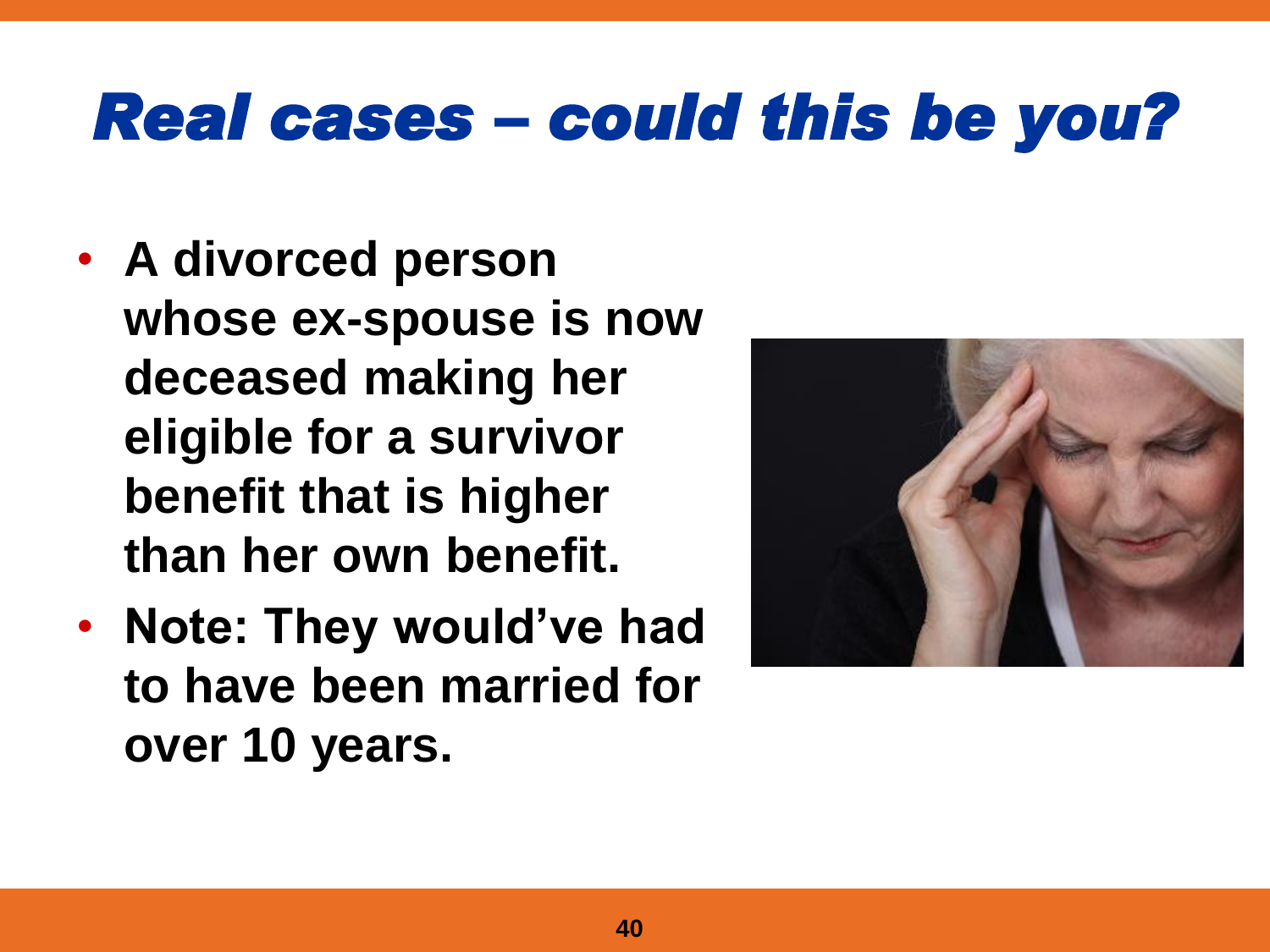#### *Real cases – could this be you?*

- **A divorced person whose ex-spouse is now deceased making her eligible for a survivor benefit that is higher than her own benefit.**
- **Note: They would've had to have been married for over 10 years.**

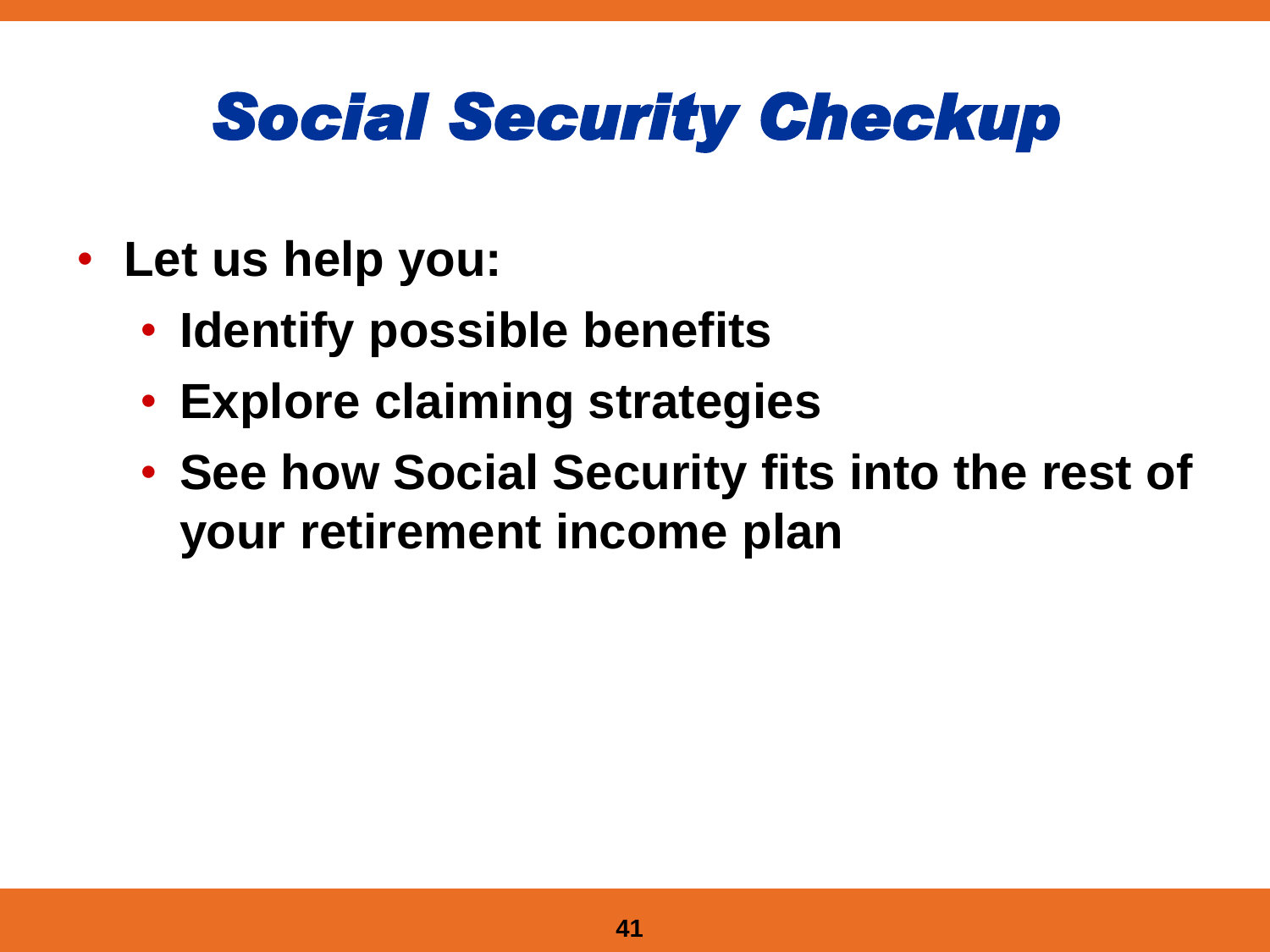## *Social Security Checkup*

- **Let us help you:**
	- **Identify possible benefits**
	- **Explore claiming strategies**
	- **See how Social Security fits into the rest of your retirement income plan**